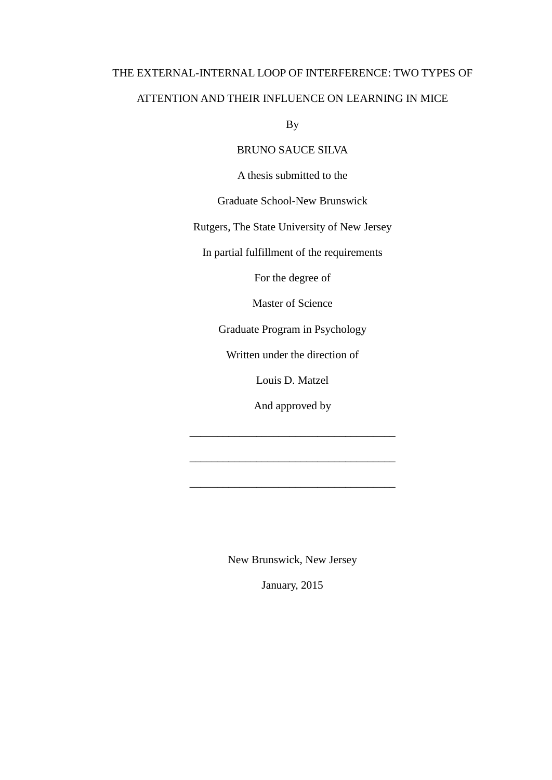## THE EXTERNAL-INTERNAL LOOP OF INTERFERENCE: TWO TYPES OF ATTENTION AND THEIR INFLUENCE ON LEARNING IN MICE

By

### BRUNO SAUCE SILVA

A thesis submitted to the

Graduate School-New Brunswick

Rutgers, The State University of New Jersey

In partial fulfillment of the requirements

For the degree of

Master of Science

Graduate Program in Psychology

Written under the direction of

Louis D. Matzel

And approved by

\_\_\_\_\_\_\_\_\_\_\_\_\_\_\_\_\_\_\_\_\_\_\_\_\_\_\_\_\_\_\_\_\_\_\_\_\_

\_\_\_\_\_\_\_\_\_\_\_\_\_\_\_\_\_\_\_\_\_\_\_\_\_\_\_\_\_\_\_\_\_\_\_\_\_

\_\_\_\_\_\_\_\_\_\_\_\_\_\_\_\_\_\_\_\_\_\_\_\_\_\_\_\_\_\_\_\_\_\_\_\_\_

New Brunswick, New Jersey

January, 2015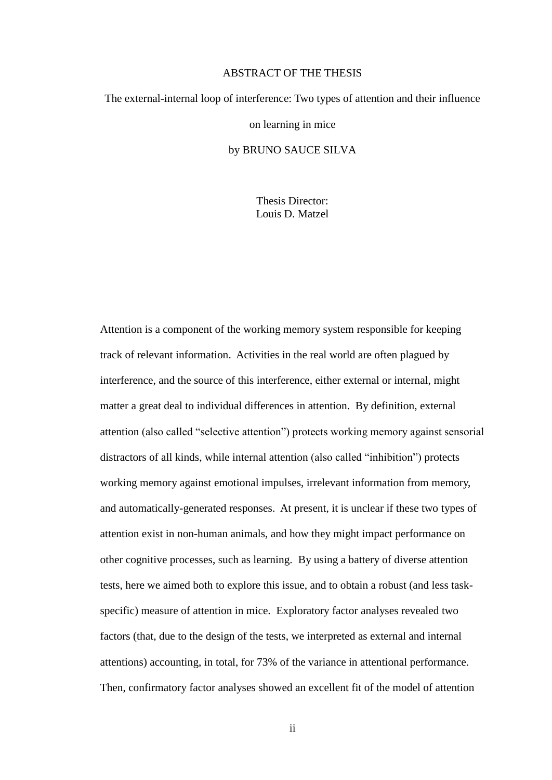#### ABSTRACT OF THE THESIS

# <span id="page-1-0"></span>The external-internal loop of interference: Two types of attention and their influence

on learning in mice

#### by BRUNO SAUCE SILVA

Thesis Director: Louis D. Matzel

Attention is a component of the working memory system responsible for keeping track of relevant information. Activities in the real world are often plagued by interference, and the source of this interference, either external or internal, might matter a great deal to individual differences in attention. By definition, external attention (also called "selective attention") protects working memory against sensorial distractors of all kinds, while internal attention (also called "inhibition") protects working memory against emotional impulses, irrelevant information from memory, and automatically-generated responses. At present, it is unclear if these two types of attention exist in non-human animals, and how they might impact performance on other cognitive processes, such as learning. By using a battery of diverse attention tests, here we aimed both to explore this issue, and to obtain a robust (and less taskspecific) measure of attention in mice. Exploratory factor analyses revealed two factors (that, due to the design of the tests, we interpreted as external and internal attentions) accounting, in total, for 73% of the variance in attentional performance. Then, confirmatory factor analyses showed an excellent fit of the model of attention

ii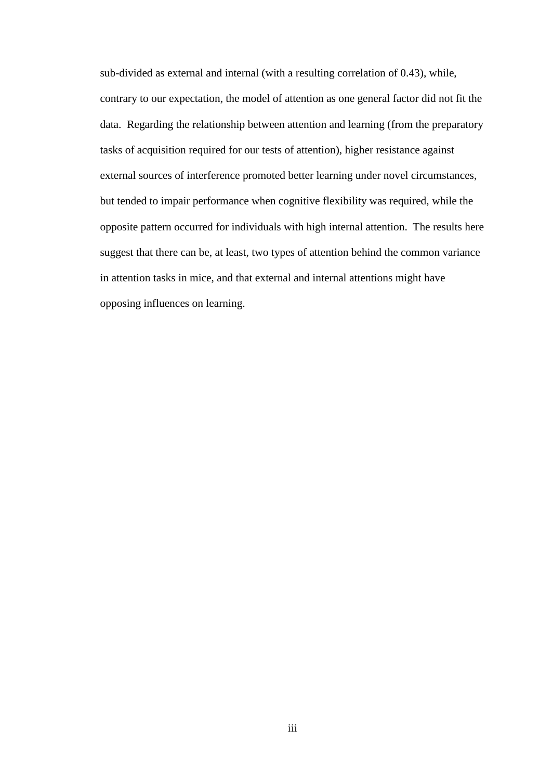sub-divided as external and internal (with a resulting correlation of 0.43), while, contrary to our expectation, the model of attention as one general factor did not fit the data. Regarding the relationship between attention and learning (from the preparatory tasks of acquisition required for our tests of attention), higher resistance against external sources of interference promoted better learning under novel circumstances, but tended to impair performance when cognitive flexibility was required, while the opposite pattern occurred for individuals with high internal attention. The results here suggest that there can be, at least, two types of attention behind the common variance in attention tasks in mice, and that external and internal attentions might have opposing influences on learning.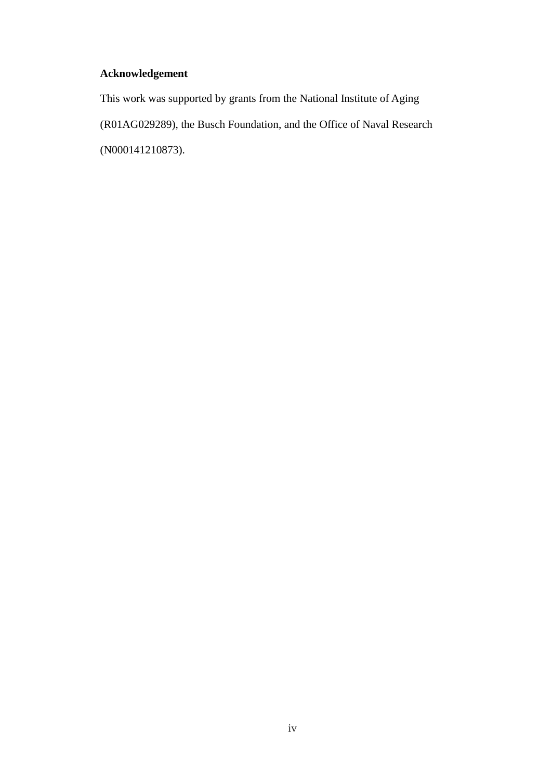## <span id="page-3-0"></span>**Acknowledgement**

This work was supported by grants from the National Institute of Aging (R01AG029289), the Busch Foundation, and the Office of Naval Research (N000141210873).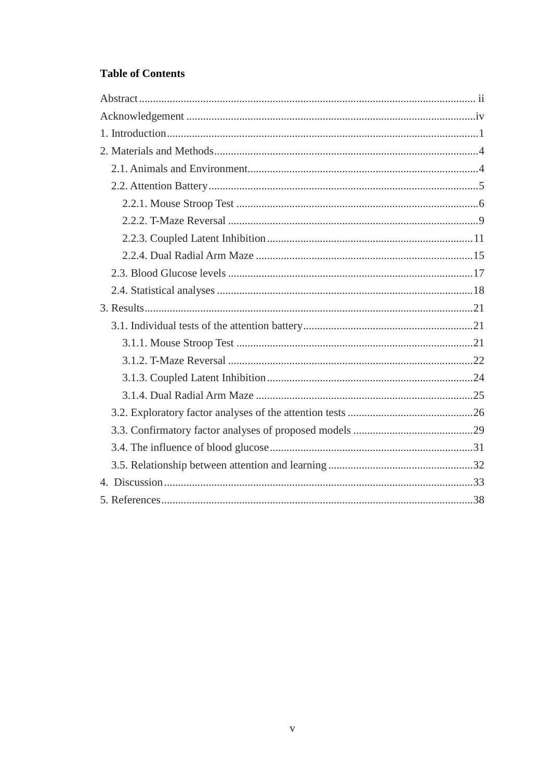## **Table of Contents**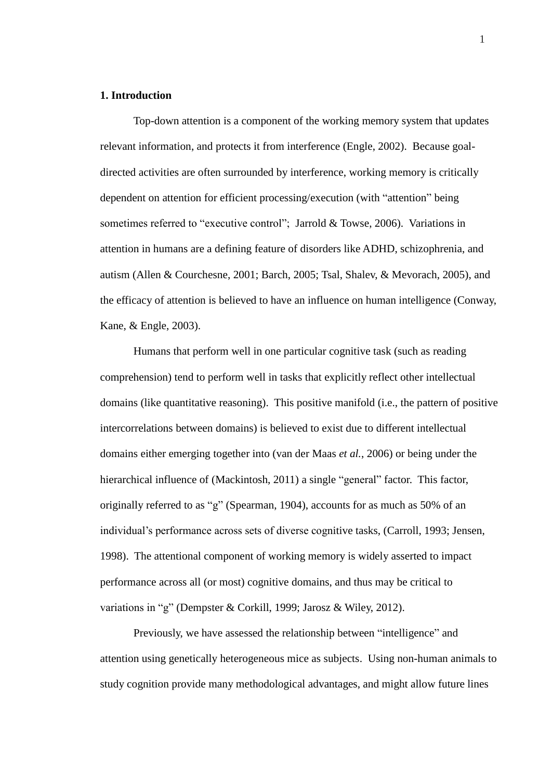#### <span id="page-5-0"></span>**1. Introduction**

Top-down attention is a component of the working memory system that updates relevant information, and protects it from interference (Engle, 2002). Because goaldirected activities are often surrounded by interference, working memory is critically dependent on attention for efficient processing/execution (with "attention" being sometimes referred to "executive control"; Jarrold & Towse, 2006). Variations in attention in humans are a defining feature of disorders like ADHD, schizophrenia, and autism (Allen & Courchesne, 2001; Barch, 2005; Tsal, Shalev, & Mevorach, 2005), and the efficacy of attention is believed to have an influence on human intelligence (Conway, Kane, & Engle, 2003).

Humans that perform well in one particular cognitive task (such as reading comprehension) tend to perform well in tasks that explicitly reflect other intellectual domains (like quantitative reasoning). This positive manifold (i.e., the pattern of positive intercorrelations between domains) is believed to exist due to different intellectual domains either emerging together into (van der Maas *et al.*, 2006) or being under the hierarchical influence of (Mackintosh, 2011) a single "general" factor. This factor, originally referred to as "g" (Spearman, 1904), accounts for as much as 50% of an individual"s performance across sets of diverse cognitive tasks, (Carroll, 1993; Jensen, 1998). The attentional component of working memory is widely asserted to impact performance across all (or most) cognitive domains, and thus may be critical to variations in "g" (Dempster & Corkill, 1999; Jarosz & Wiley, 2012).

Previously, we have assessed the relationship between "intelligence" and attention using genetically heterogeneous mice as subjects. Using non-human animals to study cognition provide many methodological advantages, and might allow future lines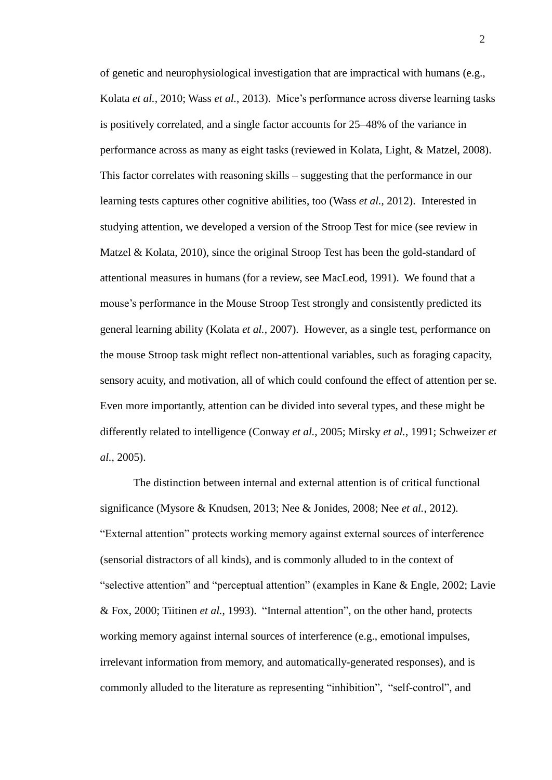of genetic and neurophysiological investigation that are impractical with humans (e.g., Kolata *et al.*, 2010; Wass *et al.*, 2013). Mice"s performance across diverse learning tasks is positively correlated, and a single factor accounts for 25–48% of the variance in performance across as many as eight tasks (reviewed in Kolata, Light, & Matzel, 2008). This factor correlates with reasoning skills – suggesting that the performance in our learning tests captures other cognitive abilities, too (Wass *et al.*, 2012). Interested in studying attention, we developed a version of the Stroop Test for mice (see review in Matzel & Kolata, 2010), since the original Stroop Test has been the gold-standard of attentional measures in humans (for a review, see MacLeod, 1991). We found that a mouse"s performance in the Mouse Stroop Test strongly and consistently predicted its general learning ability (Kolata *et al.*, 2007). However, as a single test, performance on the mouse Stroop task might reflect non-attentional variables, such as foraging capacity, sensory acuity, and motivation, all of which could confound the effect of attention per se. Even more importantly, attention can be divided into several types, and these might be differently related to intelligence (Conway *et al.*, 2005; Mirsky *et al.*, 1991; Schweizer *et al.*, 2005).

The distinction between internal and external attention is of critical functional significance (Mysore & Knudsen, 2013; Nee & Jonides, 2008; Nee *et al.*, 2012). "External attention" protects working memory against external sources of interference (sensorial distractors of all kinds), and is commonly alluded to in the context of "selective attention" and "perceptual attention" (examples in Kane & Engle, 2002; Lavie & Fox, 2000; Tiitinen *et al.*, 1993). "Internal attention", on the other hand, protects working memory against internal sources of interference (e.g., emotional impulses, irrelevant information from memory, and automatically-generated responses), and is commonly alluded to the literature as representing "inhibition", "self-control", and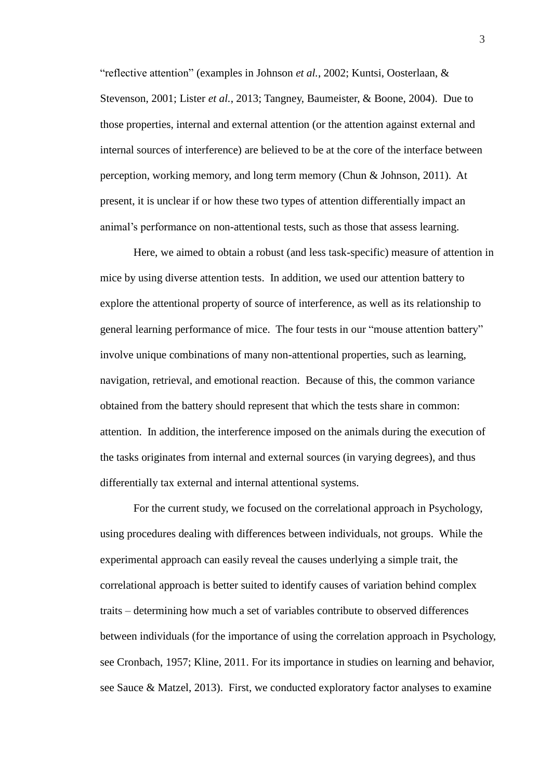"reflective attention" (examples in Johnson *et al.*, 2002; Kuntsi, Oosterlaan, & Stevenson, 2001; Lister *et al.*, 2013; Tangney, Baumeister, & Boone, 2004). Due to those properties, internal and external attention (or the attention against external and internal sources of interference) are believed to be at the core of the interface between perception, working memory, and long term memory (Chun & Johnson, 2011). At present, it is unclear if or how these two types of attention differentially impact an animal"s performance on non-attentional tests, such as those that assess learning.

Here, we aimed to obtain a robust (and less task-specific) measure of attention in mice by using diverse attention tests. In addition, we used our attention battery to explore the attentional property of source of interference, as well as its relationship to general learning performance of mice. The four tests in our "mouse attention battery" involve unique combinations of many non-attentional properties, such as learning, navigation, retrieval, and emotional reaction. Because of this, the common variance obtained from the battery should represent that which the tests share in common: attention. In addition, the interference imposed on the animals during the execution of the tasks originates from internal and external sources (in varying degrees), and thus differentially tax external and internal attentional systems.

For the current study, we focused on the correlational approach in Psychology, using procedures dealing with differences between individuals, not groups. While the experimental approach can easily reveal the causes underlying a simple trait, the correlational approach is better suited to identify causes of variation behind complex traits – determining how much a set of variables contribute to observed differences between individuals (for the importance of using the correlation approach in Psychology, see Cronbach, 1957; Kline, 2011. For its importance in studies on learning and behavior, see Sauce & Matzel, 2013). First, we conducted exploratory factor analyses to examine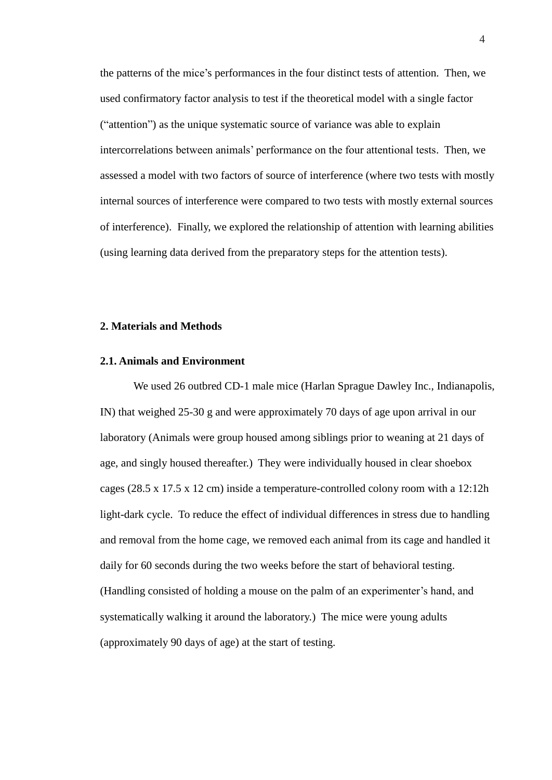the patterns of the mice"s performances in the four distinct tests of attention. Then, we used confirmatory factor analysis to test if the theoretical model with a single factor ("attention") as the unique systematic source of variance was able to explain intercorrelations between animals" performance on the four attentional tests. Then, we assessed a model with two factors of source of interference (where two tests with mostly internal sources of interference were compared to two tests with mostly external sources of interference). Finally, we explored the relationship of attention with learning abilities (using learning data derived from the preparatory steps for the attention tests).

#### <span id="page-8-0"></span>**2. Materials and Methods**

#### <span id="page-8-1"></span>**2.1. Animals and Environment**

We used 26 outbred CD-1 male mice (Harlan Sprague Dawley Inc., Indianapolis, IN) that weighed 25-30 g and were approximately 70 days of age upon arrival in our laboratory (Animals were group housed among siblings prior to weaning at 21 days of age, and singly housed thereafter.) They were individually housed in clear shoebox cages (28.5 x 17.5 x 12 cm) inside a temperature-controlled colony room with a 12:12h light-dark cycle. To reduce the effect of individual differences in stress due to handling and removal from the home cage, we removed each animal from its cage and handled it daily for 60 seconds during the two weeks before the start of behavioral testing. (Handling consisted of holding a mouse on the palm of an experimenter"s hand, and systematically walking it around the laboratory.) The mice were young adults (approximately 90 days of age) at the start of testing.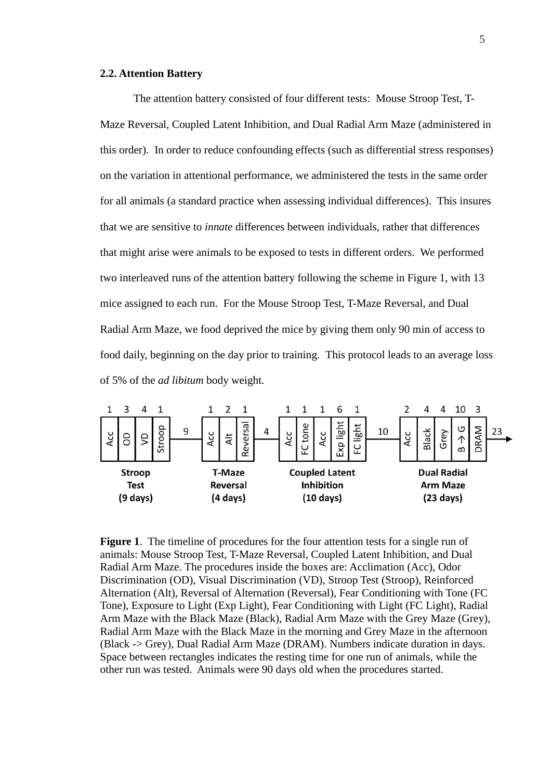#### <span id="page-9-0"></span>**2.2. Attention Battery**

The attention battery consisted of four different tests: Mouse Stroop Test, T-Maze Reversal, Coupled Latent Inhibition, and Dual Radial Arm Maze (administered in this order). In order to reduce confounding effects (such as differential stress responses) on the variation in attentional performance, we administered the tests in the same order for all animals (a standard practice when assessing individual differences). This insures that we are sensitive to *innate* differences between individuals, rather that differences that might arise were animals to be exposed to tests in different orders. We performed two interleaved runs of the attention battery following the scheme in Figure 1, with 13 mice assigned to each run. For the Mouse Stroop Test, T-Maze Reversal, and Dual Radial Arm Maze, we food deprived the mice by giving them only 90 min of access to food daily, beginning on the day prior to training. This protocol leads to an average loss of 5% of the *ad libitum* body weight.



**Figure 1**. The timeline of procedures for the four attention tests for a single run of animals: Mouse Stroop Test, T-Maze Reversal, Coupled Latent Inhibition, and Dual Radial Arm Maze. The procedures inside the boxes are: Acclimation (Acc), Odor Discrimination (OD), Visual Discrimination (VD), Stroop Test (Stroop), Reinforced Alternation (Alt), Reversal of Alternation (Reversal), Fear Conditioning with Tone (FC Tone), Exposure to Light (Exp Light), Fear Conditioning with Light (FC Light), Radial Arm Maze with the Black Maze (Black), Radial Arm Maze with the Grey Maze (Grey), Radial Arm Maze with the Black Maze in the morning and Grey Maze in the afternoon (Black -> Grey), Dual Radial Arm Maze (DRAM). Numbers indicate duration in days. Space between rectangles indicates the resting time for one run of animals, while the other run was tested. Animals were 90 days old when the procedures started.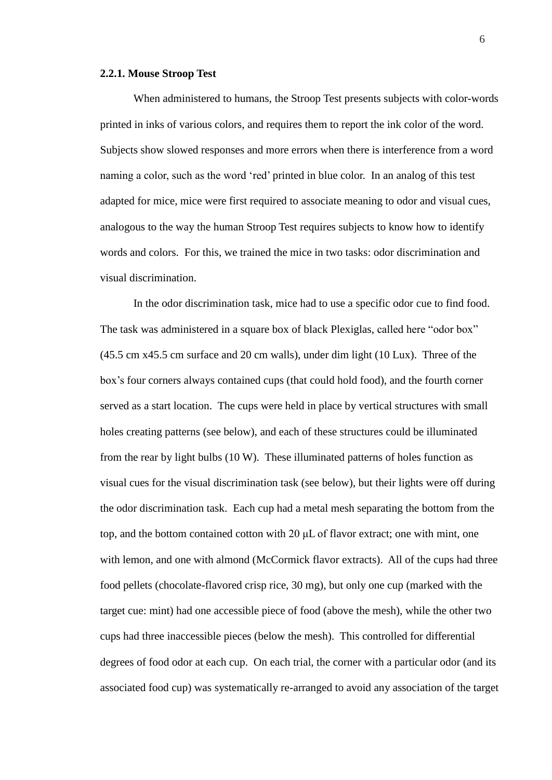#### <span id="page-10-0"></span>**2.2.1. Mouse Stroop Test**

When administered to humans, the Stroop Test presents subjects with color-words printed in inks of various colors, and requires them to report the ink color of the word. Subjects show slowed responses and more errors when there is interference from a word naming a color, such as the word "red" printed in blue color. In an analog of this test adapted for mice, mice were first required to associate meaning to odor and visual cues, analogous to the way the human Stroop Test requires subjects to know how to identify words and colors. For this, we trained the mice in two tasks: odor discrimination and visual discrimination.

In the odor discrimination task, mice had to use a specific odor cue to find food. The task was administered in a square box of black Plexiglas, called here "odor box" (45.5 cm x45.5 cm surface and 20 cm walls), under dim light (10 Lux). Three of the box"s four corners always contained cups (that could hold food), and the fourth corner served as a start location. The cups were held in place by vertical structures with small holes creating patterns (see below), and each of these structures could be illuminated from the rear by light bulbs (10 W). These illuminated patterns of holes function as visual cues for the visual discrimination task (see below), but their lights were off during the odor discrimination task. Each cup had a metal mesh separating the bottom from the top, and the bottom contained cotton with 20 μL of flavor extract; one with mint, one with lemon, and one with almond (McCormick flavor extracts). All of the cups had three food pellets (chocolate-flavored crisp rice, 30 mg), but only one cup (marked with the target cue: mint) had one accessible piece of food (above the mesh), while the other two cups had three inaccessible pieces (below the mesh). This controlled for differential degrees of food odor at each cup. On each trial, the corner with a particular odor (and its associated food cup) was systematically re-arranged to avoid any association of the target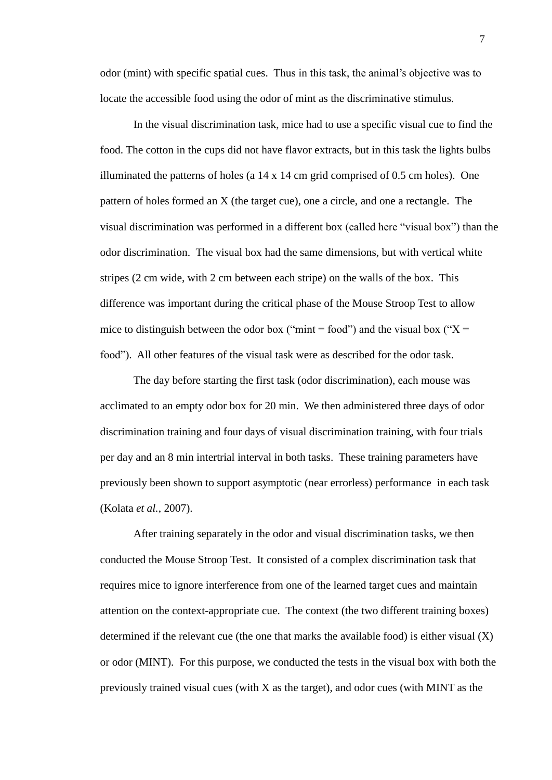odor (mint) with specific spatial cues. Thus in this task, the animal"s objective was to locate the accessible food using the odor of mint as the discriminative stimulus.

In the visual discrimination task, mice had to use a specific visual cue to find the food. The cotton in the cups did not have flavor extracts, but in this task the lights bulbs illuminated the patterns of holes (a 14 x 14 cm grid comprised of 0.5 cm holes). One pattern of holes formed an X (the target cue), one a circle, and one a rectangle. The visual discrimination was performed in a different box (called here "visual box") than the odor discrimination. The visual box had the same dimensions, but with vertical white stripes (2 cm wide, with 2 cm between each stripe) on the walls of the box. This difference was important during the critical phase of the Mouse Stroop Test to allow mice to distinguish between the odor box ("mint = food") and the visual box (" $X =$ food"). All other features of the visual task were as described for the odor task.

The day before starting the first task (odor discrimination), each mouse was acclimated to an empty odor box for 20 min. We then administered three days of odor discrimination training and four days of visual discrimination training, with four trials per day and an 8 min intertrial interval in both tasks. These training parameters have previously been shown to support asymptotic (near errorless) performance in each task (Kolata *et al.*, 2007).

After training separately in the odor and visual discrimination tasks, we then conducted the Mouse Stroop Test. It consisted of a complex discrimination task that requires mice to ignore interference from one of the learned target cues and maintain attention on the context-appropriate cue. The context (the two different training boxes) determined if the relevant cue (the one that marks the available food) is either visual  $(X)$ or odor (MINT). For this purpose, we conducted the tests in the visual box with both the previously trained visual cues (with X as the target), and odor cues (with MINT as the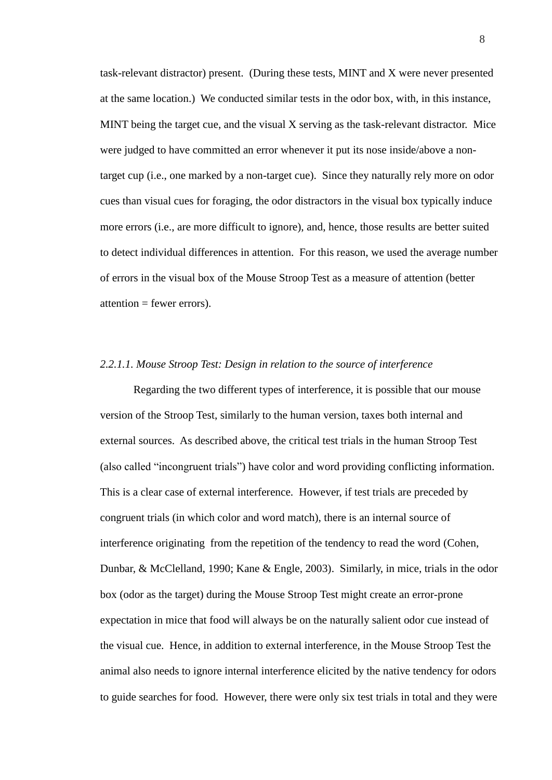task-relevant distractor) present. (During these tests, MINT and X were never presented at the same location.) We conducted similar tests in the odor box, with, in this instance, MINT being the target cue, and the visual X serving as the task-relevant distractor. Mice were judged to have committed an error whenever it put its nose inside/above a nontarget cup (i.e., one marked by a non-target cue). Since they naturally rely more on odor cues than visual cues for foraging, the odor distractors in the visual box typically induce more errors (i.e., are more difficult to ignore), and, hence, those results are better suited to detect individual differences in attention. For this reason, we used the average number of errors in the visual box of the Mouse Stroop Test as a measure of attention (better  $attention = fewer errors)$ .

#### *2.2.1.1. Mouse Stroop Test: Design in relation to the source of interference*

Regarding the two different types of interference, it is possible that our mouse version of the Stroop Test, similarly to the human version, taxes both internal and external sources. As described above, the critical test trials in the human Stroop Test (also called "incongruent trials") have color and word providing conflicting information. This is a clear case of external interference. However, if test trials are preceded by congruent trials (in which color and word match), there is an internal source of interference originating from the repetition of the tendency to read the word (Cohen, Dunbar, & McClelland, 1990; Kane & Engle, 2003). Similarly, in mice, trials in the odor box (odor as the target) during the Mouse Stroop Test might create an error-prone expectation in mice that food will always be on the naturally salient odor cue instead of the visual cue. Hence, in addition to external interference, in the Mouse Stroop Test the animal also needs to ignore internal interference elicited by the native tendency for odors to guide searches for food. However, there were only six test trials in total and they were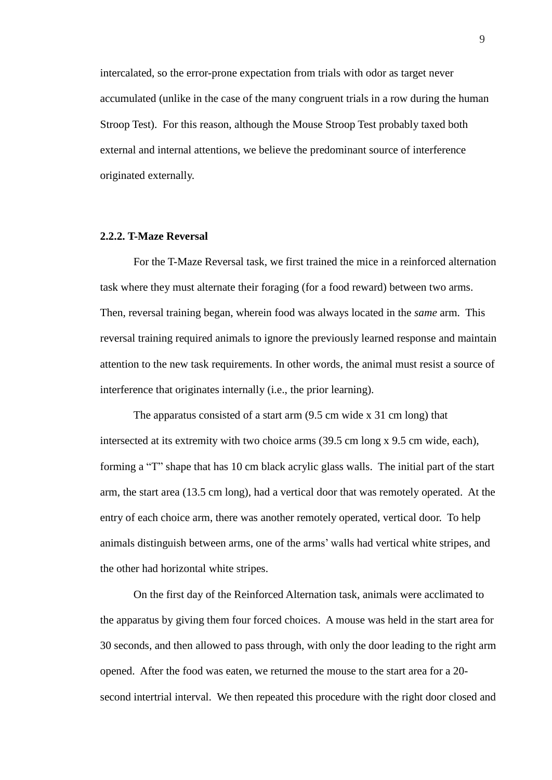intercalated, so the error-prone expectation from trials with odor as target never accumulated (unlike in the case of the many congruent trials in a row during the human Stroop Test). For this reason, although the Mouse Stroop Test probably taxed both external and internal attentions, we believe the predominant source of interference originated externally.

#### <span id="page-13-0"></span>**2.2.2. T-Maze Reversal**

For the T-Maze Reversal task, we first trained the mice in a reinforced alternation task where they must alternate their foraging (for a food reward) between two arms. Then, reversal training began, wherein food was always located in the *same* arm. This reversal training required animals to ignore the previously learned response and maintain attention to the new task requirements. In other words, the animal must resist a source of interference that originates internally (i.e., the prior learning).

The apparatus consisted of a start arm (9.5 cm wide x 31 cm long) that intersected at its extremity with two choice arms (39.5 cm long x 9.5 cm wide, each), forming a "T" shape that has 10 cm black acrylic glass walls. The initial part of the start arm, the start area (13.5 cm long), had a vertical door that was remotely operated. At the entry of each choice arm, there was another remotely operated, vertical door. To help animals distinguish between arms, one of the arms" walls had vertical white stripes, and the other had horizontal white stripes.

On the first day of the Reinforced Alternation task, animals were acclimated to the apparatus by giving them four forced choices. A mouse was held in the start area for 30 seconds, and then allowed to pass through, with only the door leading to the right arm opened. After the food was eaten, we returned the mouse to the start area for a 20 second intertrial interval. We then repeated this procedure with the right door closed and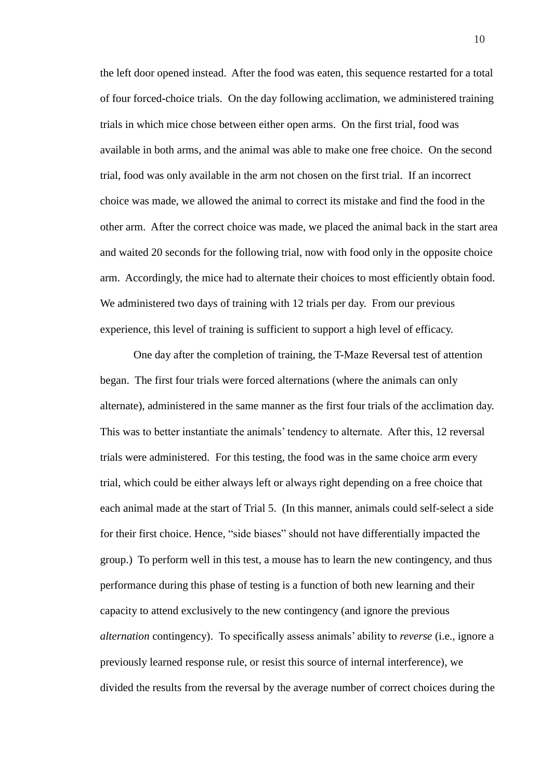the left door opened instead. After the food was eaten, this sequence restarted for a total of four forced-choice trials. On the day following acclimation, we administered training trials in which mice chose between either open arms. On the first trial, food was available in both arms, and the animal was able to make one free choice. On the second trial, food was only available in the arm not chosen on the first trial. If an incorrect choice was made, we allowed the animal to correct its mistake and find the food in the other arm. After the correct choice was made, we placed the animal back in the start area and waited 20 seconds for the following trial, now with food only in the opposite choice arm. Accordingly, the mice had to alternate their choices to most efficiently obtain food. We administered two days of training with 12 trials per day. From our previous experience, this level of training is sufficient to support a high level of efficacy.

One day after the completion of training, the T-Maze Reversal test of attention began. The first four trials were forced alternations (where the animals can only alternate), administered in the same manner as the first four trials of the acclimation day. This was to better instantiate the animals" tendency to alternate. After this, 12 reversal trials were administered. For this testing, the food was in the same choice arm every trial, which could be either always left or always right depending on a free choice that each animal made at the start of Trial 5. (In this manner, animals could self-select a side for their first choice. Hence, "side biases" should not have differentially impacted the group.) To perform well in this test, a mouse has to learn the new contingency, and thus performance during this phase of testing is a function of both new learning and their capacity to attend exclusively to the new contingency (and ignore the previous *alternation* contingency). To specifically assess animals" ability to *reverse* (i.e., ignore a previously learned response rule, or resist this source of internal interference), we divided the results from the reversal by the average number of correct choices during the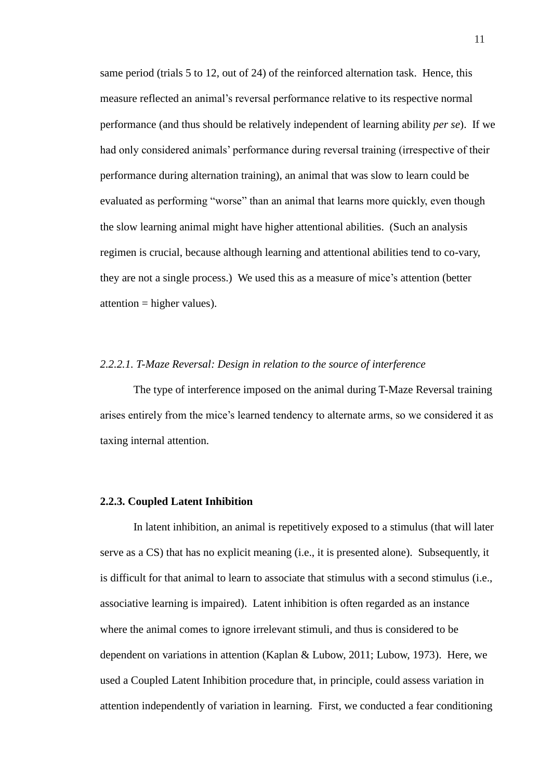same period (trials 5 to 12, out of 24) of the reinforced alternation task. Hence, this measure reflected an animal"s reversal performance relative to its respective normal performance (and thus should be relatively independent of learning ability *per se*). If we had only considered animals' performance during reversal training (irrespective of their performance during alternation training), an animal that was slow to learn could be evaluated as performing "worse" than an animal that learns more quickly, even though the slow learning animal might have higher attentional abilities. (Such an analysis regimen is crucial, because although learning and attentional abilities tend to co-vary, they are not a single process.) We used this as a measure of mice's attention (better attention = higher values).

#### *2.2.2.1. T-Maze Reversal: Design in relation to the source of interference*

The type of interference imposed on the animal during T-Maze Reversal training arises entirely from the mice"s learned tendency to alternate arms, so we considered it as taxing internal attention.

#### <span id="page-15-0"></span>**2.2.3. Coupled Latent Inhibition**

In latent inhibition, an animal is repetitively exposed to a stimulus (that will later serve as a CS) that has no explicit meaning (i.e., it is presented alone). Subsequently, it is difficult for that animal to learn to associate that stimulus with a second stimulus (i.e., associative learning is impaired). Latent inhibition is often regarded as an instance where the animal comes to ignore irrelevant stimuli, and thus is considered to be dependent on variations in attention (Kaplan & Lubow, 2011; Lubow, 1973). Here, we used a Coupled Latent Inhibition procedure that, in principle, could assess variation in attention independently of variation in learning. First, we conducted a fear conditioning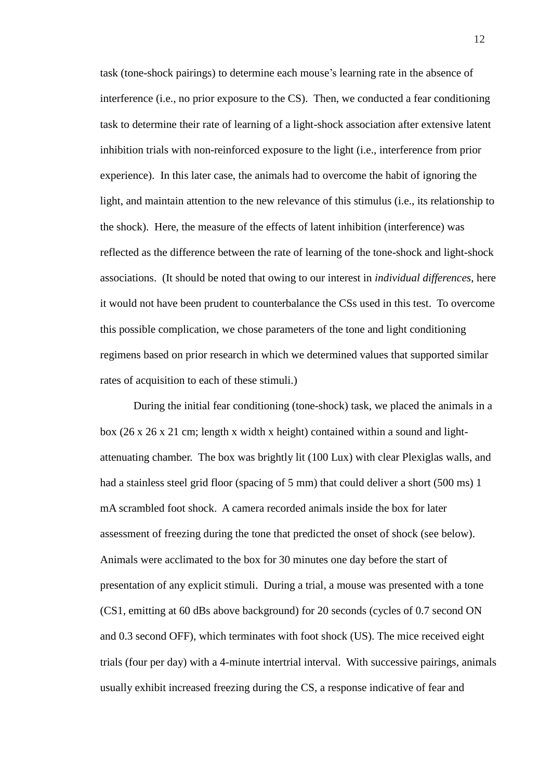task (tone-shock pairings) to determine each mouse"s learning rate in the absence of interference (i.e., no prior exposure to the CS). Then, we conducted a fear conditioning task to determine their rate of learning of a light-shock association after extensive latent inhibition trials with non-reinforced exposure to the light (i.e., interference from prior experience). In this later case, the animals had to overcome the habit of ignoring the light, and maintain attention to the new relevance of this stimulus (i.e., its relationship to the shock). Here, the measure of the effects of latent inhibition (interference) was reflected as the difference between the rate of learning of the tone-shock and light-shock associations. (It should be noted that owing to our interest in *individual differences*, here it would not have been prudent to counterbalance the CSs used in this test. To overcome this possible complication, we chose parameters of the tone and light conditioning regimens based on prior research in which we determined values that supported similar rates of acquisition to each of these stimuli.)

During the initial fear conditioning (tone-shock) task, we placed the animals in a box (26 x 26 x 21 cm; length x width x height) contained within a sound and lightattenuating chamber. The box was brightly lit (100 Lux) with clear Plexiglas walls, and had a stainless steel grid floor (spacing of 5 mm) that could deliver a short (500 ms) 1 mA scrambled foot shock. A camera recorded animals inside the box for later assessment of freezing during the tone that predicted the onset of shock (see below). Animals were acclimated to the box for 30 minutes one day before the start of presentation of any explicit stimuli. During a trial, a mouse was presented with a tone (CS1, emitting at 60 dBs above background) for 20 seconds (cycles of 0.7 second ON and 0.3 second OFF), which terminates with foot shock (US). The mice received eight trials (four per day) with a 4-minute intertrial interval. With successive pairings, animals usually exhibit increased freezing during the CS, a response indicative of fear and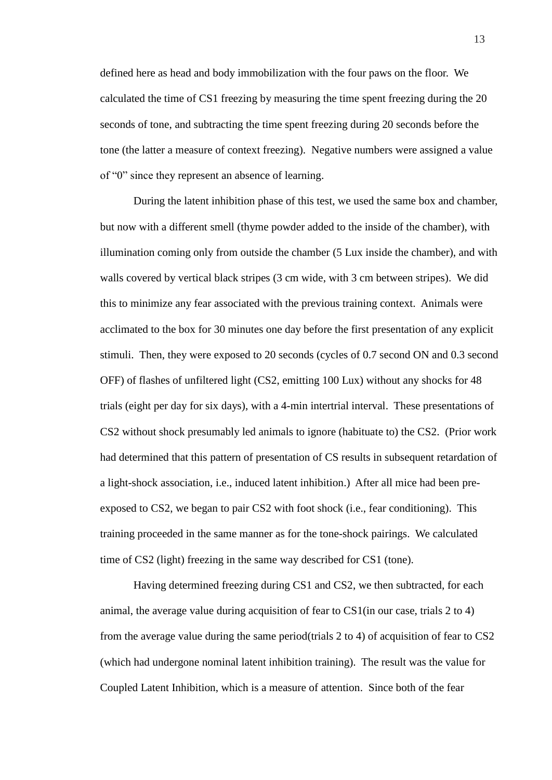defined here as head and body immobilization with the four paws on the floor. We calculated the time of CS1 freezing by measuring the time spent freezing during the 20 seconds of tone, and subtracting the time spent freezing during 20 seconds before the tone (the latter a measure of context freezing). Negative numbers were assigned a value of "0" since they represent an absence of learning.

During the latent inhibition phase of this test, we used the same box and chamber, but now with a different smell (thyme powder added to the inside of the chamber), with illumination coming only from outside the chamber (5 Lux inside the chamber), and with walls covered by vertical black stripes (3 cm wide, with 3 cm between stripes). We did this to minimize any fear associated with the previous training context. Animals were acclimated to the box for 30 minutes one day before the first presentation of any explicit stimuli. Then, they were exposed to 20 seconds (cycles of 0.7 second ON and 0.3 second OFF) of flashes of unfiltered light (CS2, emitting 100 Lux) without any shocks for 48 trials (eight per day for six days), with a 4-min intertrial interval. These presentations of CS2 without shock presumably led animals to ignore (habituate to) the CS2. (Prior work had determined that this pattern of presentation of CS results in subsequent retardation of a light-shock association, i.e., induced latent inhibition.) After all mice had been preexposed to CS2, we began to pair CS2 with foot shock (i.e., fear conditioning). This training proceeded in the same manner as for the tone-shock pairings. We calculated time of CS2 (light) freezing in the same way described for CS1 (tone).

Having determined freezing during CS1 and CS2, we then subtracted, for each animal, the average value during acquisition of fear to CS1(in our case, trials 2 to 4) from the average value during the same period(trials 2 to 4) of acquisition of fear to CS2 (which had undergone nominal latent inhibition training). The result was the value for Coupled Latent Inhibition, which is a measure of attention. Since both of the fear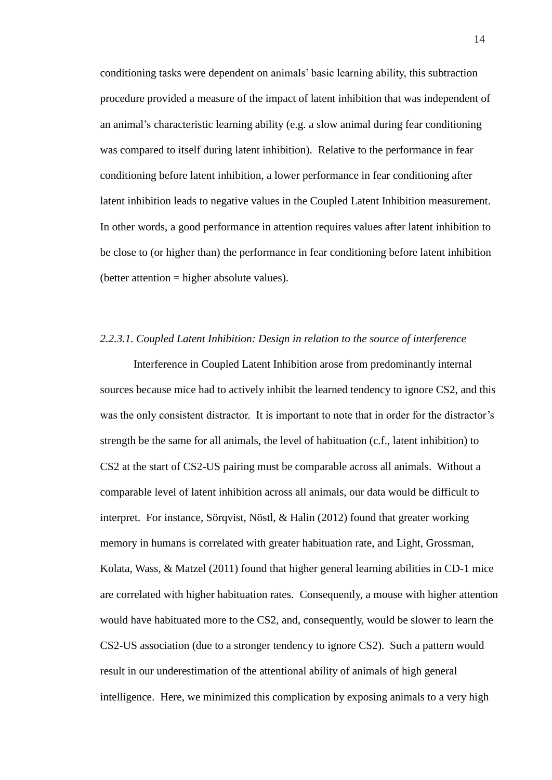conditioning tasks were dependent on animals" basic learning ability, this subtraction procedure provided a measure of the impact of latent inhibition that was independent of an animal"s characteristic learning ability (e.g. a slow animal during fear conditioning was compared to itself during latent inhibition). Relative to the performance in fear conditioning before latent inhibition, a lower performance in fear conditioning after latent inhibition leads to negative values in the Coupled Latent Inhibition measurement. In other words, a good performance in attention requires values after latent inhibition to be close to (or higher than) the performance in fear conditioning before latent inhibition  $(better attention = higher absolute values).$ 

#### *2.2.3.1. Coupled Latent Inhibition: Design in relation to the source of interference*

Interference in Coupled Latent Inhibition arose from predominantly internal sources because mice had to actively inhibit the learned tendency to ignore CS2, and this was the only consistent distractor. It is important to note that in order for the distractor's strength be the same for all animals, the level of habituation (c.f., latent inhibition) to CS2 at the start of CS2-US pairing must be comparable across all animals. Without a comparable level of latent inhibition across all animals, our data would be difficult to interpret. For instance, Sörqvist, Nöstl, & Halin (2012) found that greater working memory in humans is correlated with greater habituation rate, and Light, Grossman, Kolata, Wass,  $\&$  Matzel (2011) found that higher general learning abilities in CD-1 mice are correlated with higher habituation rates. Consequently, a mouse with higher attention would have habituated more to the CS2, and, consequently, would be slower to learn the CS2-US association (due to a stronger tendency to ignore CS2). Such a pattern would result in our underestimation of the attentional ability of animals of high general intelligence. Here, we minimized this complication by exposing animals to a very high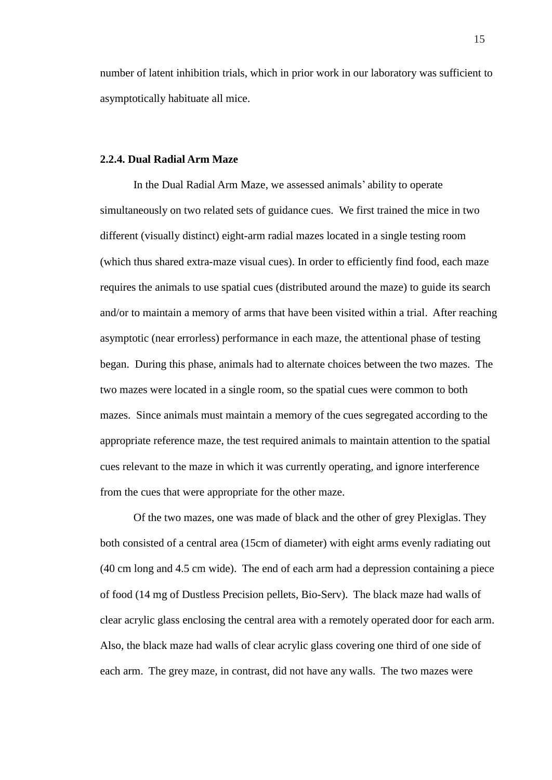number of latent inhibition trials, which in prior work in our laboratory was sufficient to asymptotically habituate all mice.

#### <span id="page-19-0"></span>**2.2.4. Dual Radial Arm Maze**

In the Dual Radial Arm Maze, we assessed animals" ability to operate simultaneously on two related sets of guidance cues. We first trained the mice in two different (visually distinct) eight-arm radial mazes located in a single testing room (which thus shared extra-maze visual cues). In order to efficiently find food, each maze requires the animals to use spatial cues (distributed around the maze) to guide its search and/or to maintain a memory of arms that have been visited within a trial. After reaching asymptotic (near errorless) performance in each maze, the attentional phase of testing began. During this phase, animals had to alternate choices between the two mazes. The two mazes were located in a single room, so the spatial cues were common to both mazes. Since animals must maintain a memory of the cues segregated according to the appropriate reference maze, the test required animals to maintain attention to the spatial cues relevant to the maze in which it was currently operating, and ignore interference from the cues that were appropriate for the other maze.

Of the two mazes, one was made of black and the other of grey Plexiglas. They both consisted of a central area (15cm of diameter) with eight arms evenly radiating out (40 cm long and 4.5 cm wide). The end of each arm had a depression containing a piece of food (14 mg of Dustless Precision pellets, Bio-Serv). The black maze had walls of clear acrylic glass enclosing the central area with a remotely operated door for each arm. Also, the black maze had walls of clear acrylic glass covering one third of one side of each arm. The grey maze, in contrast, did not have any walls. The two mazes were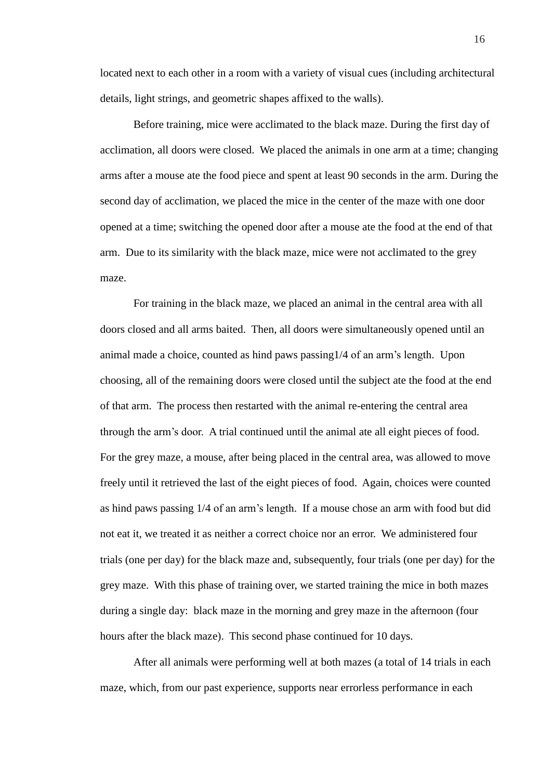located next to each other in a room with a variety of visual cues (including architectural details, light strings, and geometric shapes affixed to the walls).

Before training, mice were acclimated to the black maze. During the first day of acclimation, all doors were closed. We placed the animals in one arm at a time; changing arms after a mouse ate the food piece and spent at least 90 seconds in the arm. During the second day of acclimation, we placed the mice in the center of the maze with one door opened at a time; switching the opened door after a mouse ate the food at the end of that arm. Due to its similarity with the black maze, mice were not acclimated to the grey maze.

For training in the black maze, we placed an animal in the central area with all doors closed and all arms baited. Then, all doors were simultaneously opened until an animal made a choice, counted as hind paws passing1/4 of an arm"s length. Upon choosing, all of the remaining doors were closed until the subject ate the food at the end of that arm. The process then restarted with the animal re-entering the central area through the arm"s door. A trial continued until the animal ate all eight pieces of food. For the grey maze, a mouse, after being placed in the central area, was allowed to move freely until it retrieved the last of the eight pieces of food. Again, choices were counted as hind paws passing 1/4 of an arm"s length. If a mouse chose an arm with food but did not eat it, we treated it as neither a correct choice nor an error. We administered four trials (one per day) for the black maze and, subsequently, four trials (one per day) for the grey maze. With this phase of training over, we started training the mice in both mazes during a single day: black maze in the morning and grey maze in the afternoon (four hours after the black maze). This second phase continued for 10 days.

After all animals were performing well at both mazes (a total of 14 trials in each maze, which, from our past experience, supports near errorless performance in each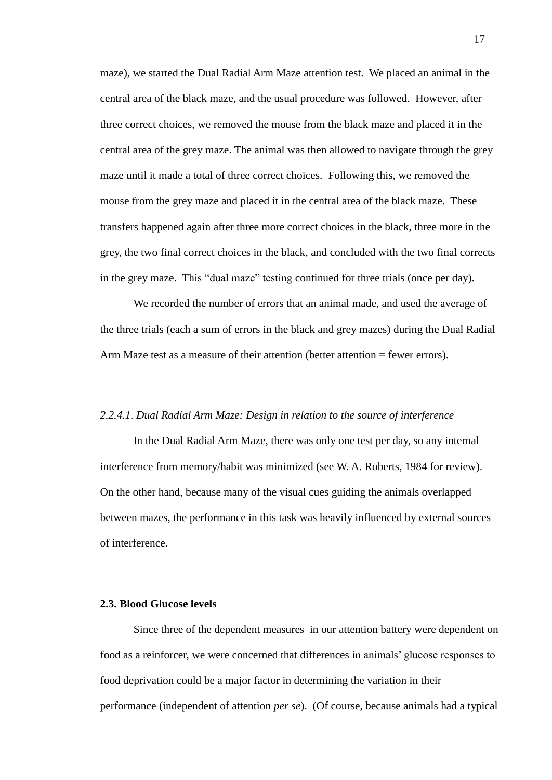maze), we started the Dual Radial Arm Maze attention test. We placed an animal in the central area of the black maze, and the usual procedure was followed. However, after three correct choices, we removed the mouse from the black maze and placed it in the central area of the grey maze. The animal was then allowed to navigate through the grey maze until it made a total of three correct choices. Following this, we removed the mouse from the grey maze and placed it in the central area of the black maze. These transfers happened again after three more correct choices in the black, three more in the grey, the two final correct choices in the black, and concluded with the two final corrects in the grey maze. This "dual maze" testing continued for three trials (once per day).

We recorded the number of errors that an animal made, and used the average of the three trials (each a sum of errors in the black and grey mazes) during the Dual Radial Arm Maze test as a measure of their attention (better attention = fewer errors).

#### *2.2.4.1. Dual Radial Arm Maze: Design in relation to the source of interference*

In the Dual Radial Arm Maze, there was only one test per day, so any internal interference from memory/habit was minimized (see W. A. Roberts, 1984 for review). On the other hand, because many of the visual cues guiding the animals overlapped between mazes, the performance in this task was heavily influenced by external sources of interference.

#### <span id="page-21-0"></span>**2.3. Blood Glucose levels**

Since three of the dependent measures in our attention battery were dependent on food as a reinforcer, we were concerned that differences in animals" glucose responses to food deprivation could be a major factor in determining the variation in their performance (independent of attention *per se*). (Of course, because animals had a typical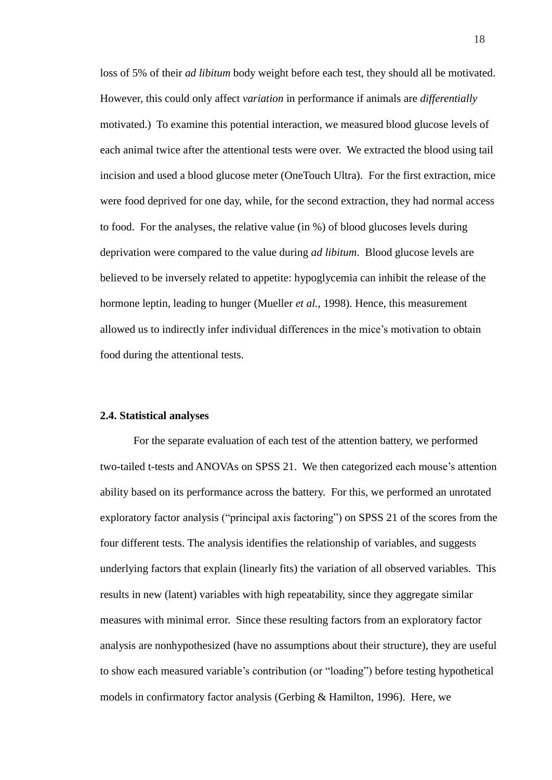loss of 5% of their *ad libitum* body weight before each test, they should all be motivated. However, this could only affect *variation* in performance if animals are *differentially* motivated.) To examine this potential interaction, we measured blood glucose levels of each animal twice after the attentional tests were over. We extracted the blood using tail incision and used a blood glucose meter (OneTouch Ultra). For the first extraction, mice were food deprived for one day, while, for the second extraction, they had normal access to food. For the analyses, the relative value (in %) of blood glucoses levels during deprivation were compared to the value during *ad libitum*. Blood glucose levels are believed to be inversely related to appetite: hypoglycemia can inhibit the release of the hormone leptin, leading to hunger (Mueller *et al.*, 1998). Hence, this measurement allowed us to indirectly infer individual differences in the mice"s motivation to obtain food during the attentional tests.

#### <span id="page-22-0"></span>**2.4. Statistical analyses**

For the separate evaluation of each test of the attention battery, we performed two-tailed t-tests and ANOVAs on SPSS 21. We then categorized each mouse"s attention ability based on its performance across the battery. For this, we performed an unrotated exploratory factor analysis ("principal axis factoring") on SPSS 21 of the scores from the four different tests. The analysis identifies the relationship of variables, and suggests underlying factors that explain (linearly fits) the variation of all observed variables. This results in new (latent) variables with high repeatability, since they aggregate similar measures with minimal error. Since these resulting factors from an exploratory factor analysis are nonhypothesized (have no assumptions about their structure), they are useful to show each measured variable"s contribution (or "loading") before testing hypothetical models in confirmatory factor analysis (Gerbing & Hamilton, 1996). Here, we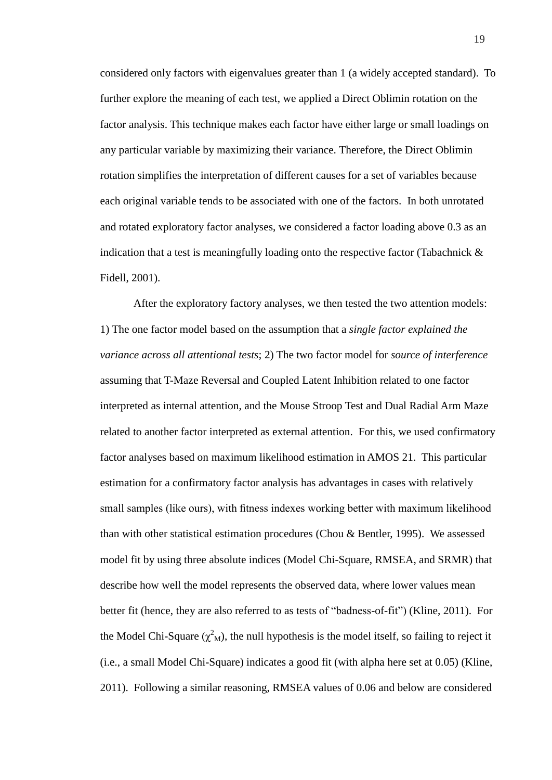considered only factors with eigenvalues greater than 1 (a widely accepted standard). To further explore the meaning of each test, we applied a Direct Oblimin rotation on the factor analysis. This technique makes each factor have either large or small loadings on any particular variable by maximizing their variance. Therefore, the Direct Oblimin rotation simplifies the interpretation of different causes for a set of variables because each original variable tends to be associated with one of the factors. In both unrotated and rotated exploratory factor analyses, we considered a factor loading above 0.3 as an indication that a test is meaningfully loading onto the respective factor (Tabachnick  $\&$ Fidell, 2001).

After the exploratory factory analyses, we then tested the two attention models: 1) The one factor model based on the assumption that a *single factor explained the variance across all attentional tests*; 2) The two factor model for *source of interference* assuming that T-Maze Reversal and Coupled Latent Inhibition related to one factor interpreted as internal attention, and the Mouse Stroop Test and Dual Radial Arm Maze related to another factor interpreted as external attention. For this, we used confirmatory factor analyses based on maximum likelihood estimation in AMOS 21. This particular estimation for a confirmatory factor analysis has advantages in cases with relatively small samples (like ours), with fitness indexes working better with maximum likelihood than with other statistical estimation procedures (Chou & Bentler, 1995). We assessed model fit by using three absolute indices (Model Chi-Square, RMSEA, and SRMR) that describe how well the model represents the observed data, where lower values mean better fit (hence, they are also referred to as tests of "badness-of-fit") (Kline, 2011). For the Model Chi-Square ( $\chi^2$ <sub>M</sub>), the null hypothesis is the model itself, so failing to reject it (i.e., a small Model Chi-Square) indicates a good fit (with alpha here set at 0.05) (Kline, 2011). Following a similar reasoning, RMSEA values of 0.06 and below are considered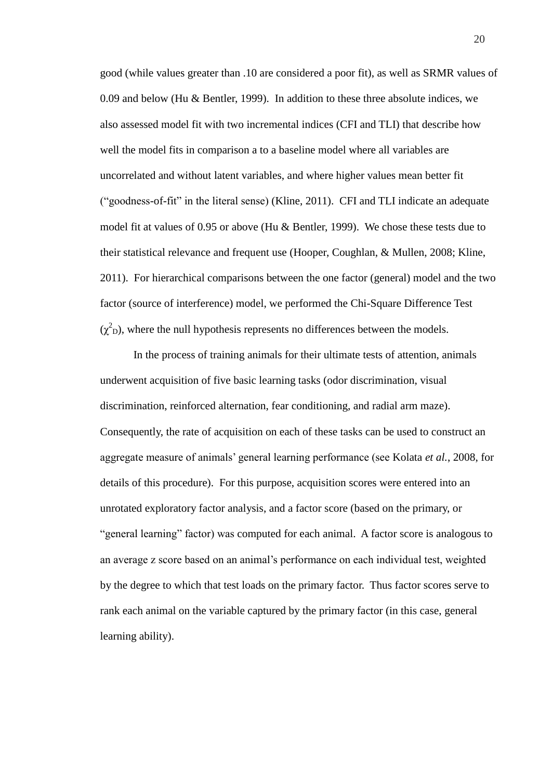good (while values greater than .10 are considered a poor fit), as well as SRMR values of 0.09 and below (Hu & Bentler, 1999). In addition to these three absolute indices, we also assessed model fit with two incremental indices (CFI and TLI) that describe how well the model fits in comparison a to a baseline model where all variables are uncorrelated and without latent variables, and where higher values mean better fit ("goodness-of-fit" in the literal sense) (Kline, 2011). CFI and TLI indicate an adequate model fit at values of 0.95 or above (Hu & Bentler, 1999). We chose these tests due to their statistical relevance and frequent use (Hooper, Coughlan, & Mullen, 2008; Kline, 2011). For hierarchical comparisons between the one factor (general) model and the two factor (source of interference) model, we performed the Chi-Square Difference Test  $(\chi^2_{\rm D})$ , where the null hypothesis represents no differences between the models.

In the process of training animals for their ultimate tests of attention, animals underwent acquisition of five basic learning tasks (odor discrimination, visual discrimination, reinforced alternation, fear conditioning, and radial arm maze). Consequently, the rate of acquisition on each of these tasks can be used to construct an aggregate measure of animals" general learning performance (see Kolata *et al.*, 2008, for details of this procedure). For this purpose, acquisition scores were entered into an unrotated exploratory factor analysis, and a factor score (based on the primary, or "general learning" factor) was computed for each animal. A factor score is analogous to an average z score based on an animal"s performance on each individual test, weighted by the degree to which that test loads on the primary factor. Thus factor scores serve to rank each animal on the variable captured by the primary factor (in this case, general learning ability).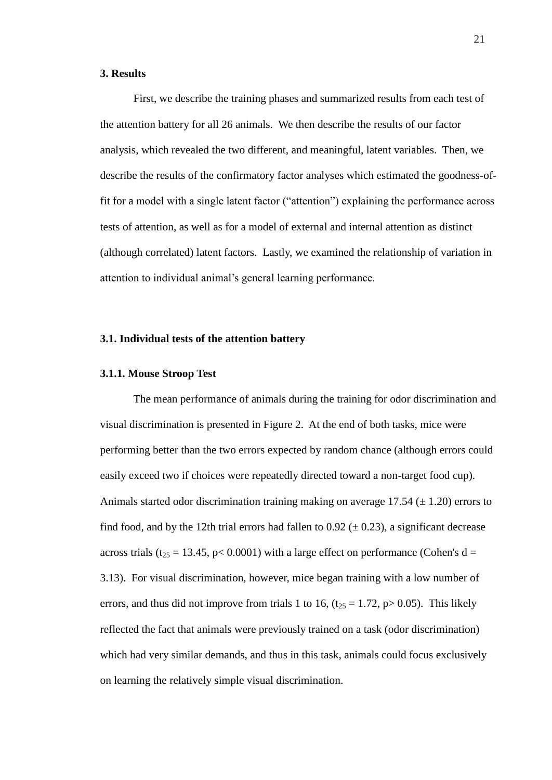#### <span id="page-25-0"></span>**3. Results**

First, we describe the training phases and summarized results from each test of the attention battery for all 26 animals. We then describe the results of our factor analysis, which revealed the two different, and meaningful, latent variables. Then, we describe the results of the confirmatory factor analyses which estimated the goodness-offit for a model with a single latent factor ("attention") explaining the performance across tests of attention, as well as for a model of external and internal attention as distinct (although correlated) latent factors. Lastly, we examined the relationship of variation in attention to individual animal"s general learning performance.

#### <span id="page-25-1"></span>**3.1. Individual tests of the attention battery**

#### <span id="page-25-2"></span>**3.1.1. Mouse Stroop Test**

The mean performance of animals during the training for odor discrimination and visual discrimination is presented in Figure 2. At the end of both tasks, mice were performing better than the two errors expected by random chance (although errors could easily exceed two if choices were repeatedly directed toward a non-target food cup). Animals started odor discrimination training making on average  $17.54 \ (\pm 1.20)$  errors to find food, and by the 12th trial errors had fallen to 0.92  $(\pm 0.23)$ , a significant decrease across trials ( $t_{25}$  = 13.45, p< 0.0001) with a large effect on performance (Cohen's d = 3.13). For visual discrimination, however, mice began training with a low number of errors, and thus did not improve from trials 1 to 16,  $(t_{25} = 1.72, p > 0.05)$ . This likely reflected the fact that animals were previously trained on a task (odor discrimination) which had very similar demands, and thus in this task, animals could focus exclusively on learning the relatively simple visual discrimination.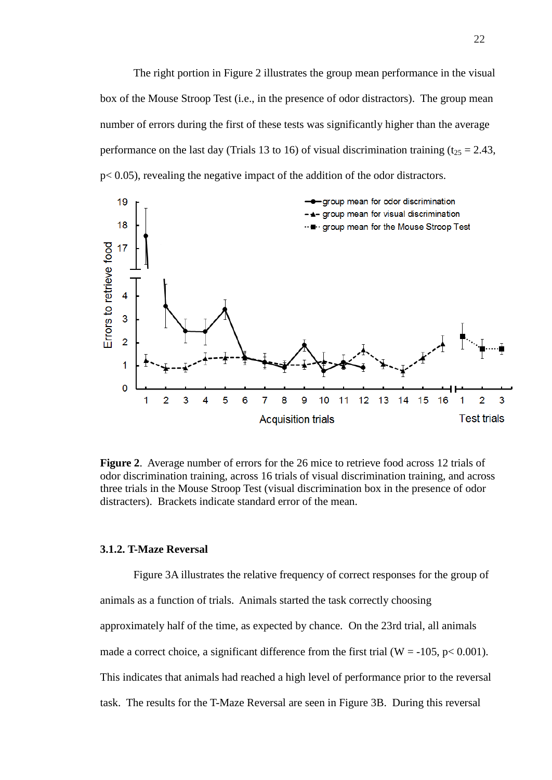The right portion in Figure 2 illustrates the group mean performance in the visual box of the Mouse Stroop Test (i.e., in the presence of odor distractors). The group mean number of errors during the first of these tests was significantly higher than the average performance on the last day (Trials 13 to 16) of visual discrimination training ( $t_{25} = 2.43$ , p< 0.05), revealing the negative impact of the addition of the odor distractors.



**Figure 2**. Average number of errors for the 26 mice to retrieve food across 12 trials of odor discrimination training, across 16 trials of visual discrimination training, and across three trials in the Mouse Stroop Test (visual discrimination box in the presence of odor distracters). Brackets indicate standard error of the mean.

#### <span id="page-26-0"></span>**3.1.2. T-Maze Reversal**

Figure 3A illustrates the relative frequency of correct responses for the group of animals as a function of trials. Animals started the task correctly choosing approximately half of the time, as expected by chance. On the 23rd trial, all animals made a correct choice, a significant difference from the first trial (W = -105, p < 0.001). This indicates that animals had reached a high level of performance prior to the reversal task. The results for the T-Maze Reversal are seen in Figure 3B. During this reversal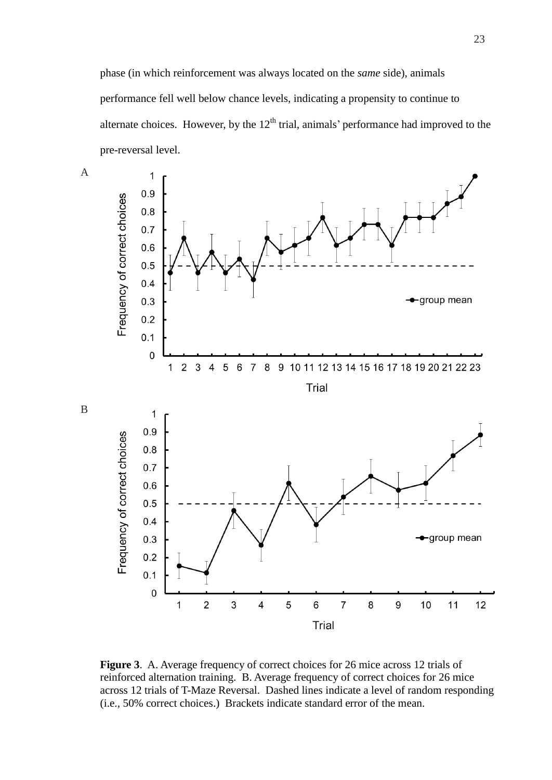phase (in which reinforcement was always located on the *same* side), animals performance fell well below chance levels, indicating a propensity to continue to alternate choices. However, by the  $12<sup>th</sup>$  trial, animals' performance had improved to the pre-reversal level.





**Figure 3**. A. Average frequency of correct choices for 26 mice across 12 trials of reinforced alternation training. B. Average frequency of correct choices for 26 mice across 12 trials of T-Maze Reversal. Dashed lines indicate a level of random responding (i.e., 50% correct choices.) Brackets indicate standard error of the mean.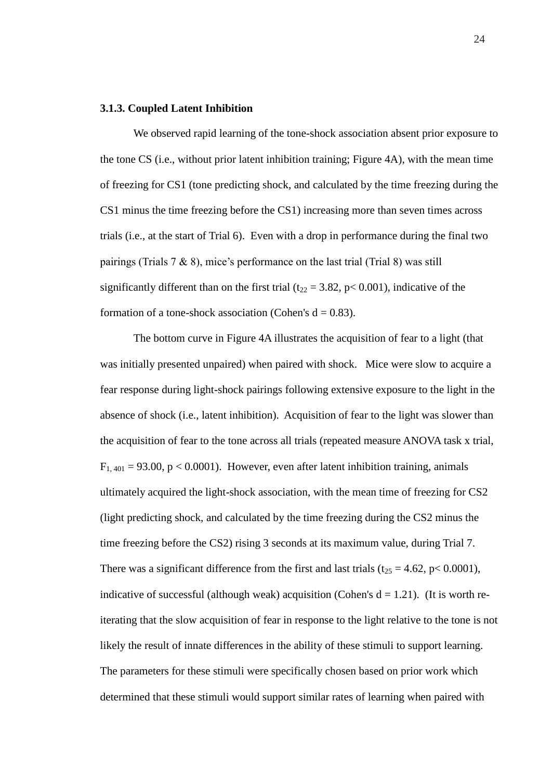#### <span id="page-28-0"></span>**3.1.3. Coupled Latent Inhibition**

We observed rapid learning of the tone-shock association absent prior exposure to the tone CS (i.e., without prior latent inhibition training; Figure 4A), with the mean time of freezing for CS1 (tone predicting shock, and calculated by the time freezing during the CS1 minus the time freezing before the CS1) increasing more than seven times across trials (i.e., at the start of Trial 6). Even with a drop in performance during the final two pairings (Trials  $7 \& 8$ ), mice's performance on the last trial (Trial 8) was still significantly different than on the first trial ( $t_{22} = 3.82$ , p< 0.001), indicative of the formation of a tone-shock association (Cohen's  $d = 0.83$ ).

The bottom curve in Figure 4A illustrates the acquisition of fear to a light (that was initially presented unpaired) when paired with shock. Mice were slow to acquire a fear response during light-shock pairings following extensive exposure to the light in the absence of shock (i.e., latent inhibition). Acquisition of fear to the light was slower than the acquisition of fear to the tone across all trials (repeated measure ANOVA task x trial,  $F_{1,401} = 93.00$ , p < 0.0001). However, even after latent inhibition training, animals ultimately acquired the light-shock association, with the mean time of freezing for CS2 (light predicting shock, and calculated by the time freezing during the CS2 minus the time freezing before the CS2) rising 3 seconds at its maximum value, during Trial 7. There was a significant difference from the first and last trials ( $t_{25} = 4.62$ , p< 0.0001), indicative of successful (although weak) acquisition (Cohen's  $d = 1.21$ ). (It is worth reiterating that the slow acquisition of fear in response to the light relative to the tone is not likely the result of innate differences in the ability of these stimuli to support learning. The parameters for these stimuli were specifically chosen based on prior work which determined that these stimuli would support similar rates of learning when paired with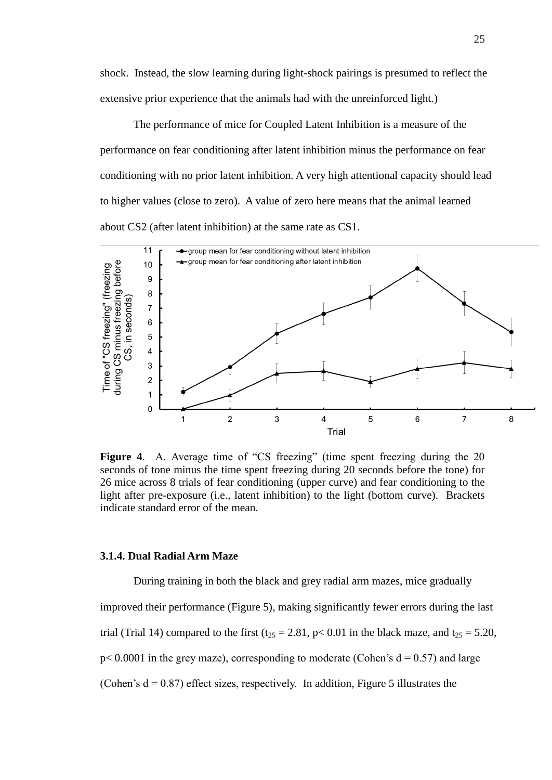shock. Instead, the slow learning during light-shock pairings is presumed to reflect the extensive prior experience that the animals had with the unreinforced light.)

The performance of mice for Coupled Latent Inhibition is a measure of the performance on fear conditioning after latent inhibition minus the performance on fear conditioning with no prior latent inhibition. A very high attentional capacity should lead to higher values (close to zero). A value of zero here means that the animal learned about CS2 (after latent inhibition) at the same rate as CS1.



**Figure 4.** A. Average time of "CS freezing" (time spent freezing during the 20 seconds of tone minus the time spent freezing during 20 seconds before the tone) for 26 mice across 8 trials of fear conditioning (upper curve) and fear conditioning to the light after pre-exposure (i.e., latent inhibition) to the light (bottom curve). Brackets indicate standard error of the mean.

#### <span id="page-29-0"></span>**3.1.4. Dual Radial Arm Maze**

During training in both the black and grey radial arm mazes, mice gradually improved their performance (Figure 5), making significantly fewer errors during the last trial (Trial 14) compared to the first ( $t_{25} = 2.81$ , p< 0.01 in the black maze, and  $t_{25} = 5.20$ ,  $p$ < 0.0001 in the grey maze), corresponding to moderate (Cohen's  $d = 0.57$ ) and large (Cohen's  $d = 0.87$ ) effect sizes, respectively. In addition, Figure 5 illustrates the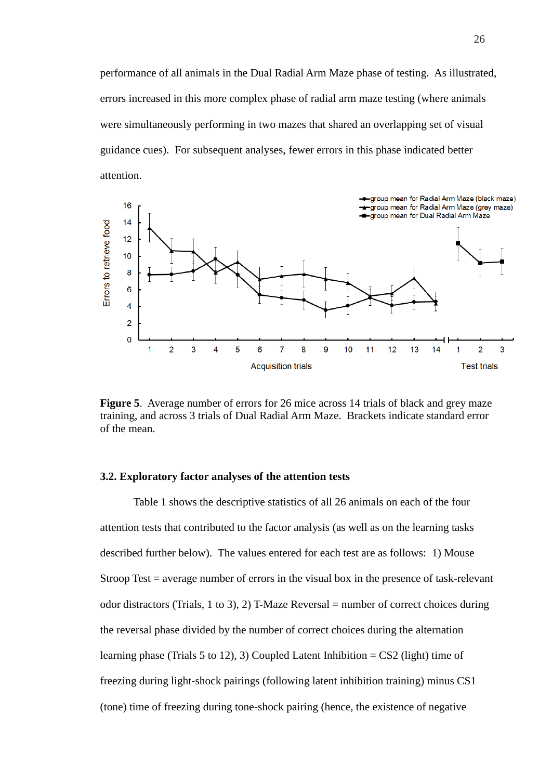performance of all animals in the Dual Radial Arm Maze phase of testing. As illustrated, errors increased in this more complex phase of radial arm maze testing (where animals were simultaneously performing in two mazes that shared an overlapping set of visual guidance cues). For subsequent analyses, fewer errors in this phase indicated better attention.



**Figure 5**. Average number of errors for 26 mice across 14 trials of black and grey maze training, and across 3 trials of Dual Radial Arm Maze. Brackets indicate standard error of the mean.

#### <span id="page-30-0"></span>**3.2. Exploratory factor analyses of the attention tests**

Table 1 shows the descriptive statistics of all 26 animals on each of the four attention tests that contributed to the factor analysis (as well as on the learning tasks described further below). The values entered for each test are as follows: 1) Mouse Stroop Test = average number of errors in the visual box in the presence of task-relevant odor distractors (Trials, 1 to 3), 2) T-Maze Reversal = number of correct choices during the reversal phase divided by the number of correct choices during the alternation learning phase (Trials 5 to 12), 3) Coupled Latent Inhibition =  $CS2$  (light) time of freezing during light-shock pairings (following latent inhibition training) minus CS1 (tone) time of freezing during tone-shock pairing (hence, the existence of negative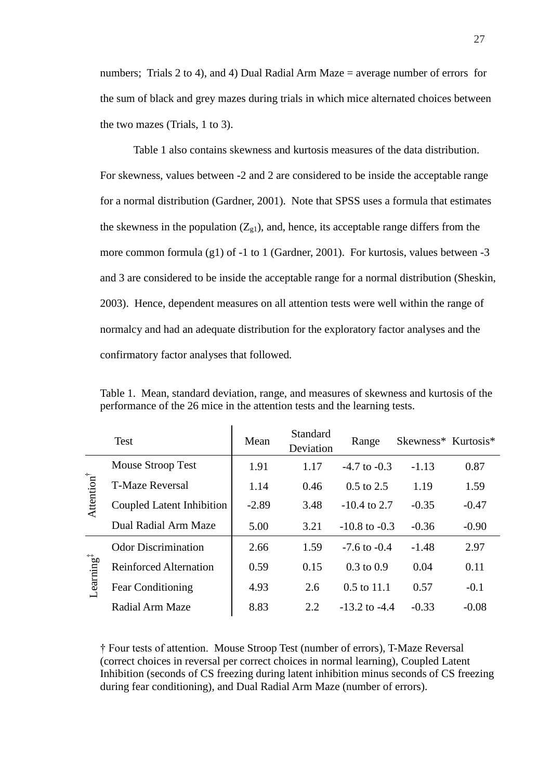numbers; Trials 2 to 4), and 4) Dual Radial Arm Maze = average number of errors for the sum of black and grey mazes during trials in which mice alternated choices between the two mazes (Trials, 1 to 3).

Table 1 also contains skewness and kurtosis measures of the data distribution. For skewness, values between -2 and 2 are considered to be inside the acceptable range for a normal distribution (Gardner, 2001). Note that SPSS uses a formula that estimates the skewness in the population  $(Z_{g1})$ , and, hence, its acceptable range differs from the more common formula (g1) of  $-1$  to 1 (Gardner, 2001). For kurtosis, values between  $-3$ and 3 are considered to be inside the acceptable range for a normal distribution (Sheskin, 2003). Hence, dependent measures on all attention tests were well within the range of normalcy and had an adequate distribution for the exploratory factor analyses and the confirmatory factor analyses that followed.

|                       | <b>Test</b>                   | Mean    | Standard<br>Deviation | Range                 | Skewness* Kurtosis* |         |
|-----------------------|-------------------------------|---------|-----------------------|-----------------------|---------------------|---------|
|                       | Mouse Stroop Test             | 1.91    | 1.17                  | $-4.7$ to $-0.3$      | $-1.13$             | 0.87    |
|                       | <b>T-Maze Reversal</b>        | 1.14    | 0.46                  | $0.5$ to 2.5          | 1.19                | 1.59    |
| Attention             | Coupled Latent Inhibition     | $-2.89$ | 3.48                  | $-10.4$ to 2.7        | $-0.35$             | $-0.47$ |
|                       | Dual Radial Arm Maze          | 5.00    | 3.21                  | $-10.8$ to $-0.3$     | $-0.36$             | $-0.90$ |
| -earning <sup>#</sup> | <b>Odor Discrimination</b>    | 2.66    | 1.59                  | $-7.6$ to $-0.4$      | $-1.48$             | 2.97    |
|                       | <b>Reinforced Alternation</b> | 0.59    | 0.15                  | $0.3 \text{ to } 0.9$ | 0.04                | 0.11    |
|                       | <b>Fear Conditioning</b>      | 4.93    | 2.6                   | $0.5$ to 11.1         | 0.57                | $-0.1$  |
|                       | Radial Arm Maze               | 8.83    | 2.2                   | $-13.2$ to $-4.4$     | $-0.33$             | $-0.08$ |

Table 1. Mean, standard deviation, range, and measures of skewness and kurtosis of the performance of the 26 mice in the attention tests and the learning tests.

† Four tests of attention. Mouse Stroop Test (number of errors), T-Maze Reversal (correct choices in reversal per correct choices in normal learning), Coupled Latent Inhibition (seconds of CS freezing during latent inhibition minus seconds of CS freezing during fear conditioning), and Dual Radial Arm Maze (number of errors).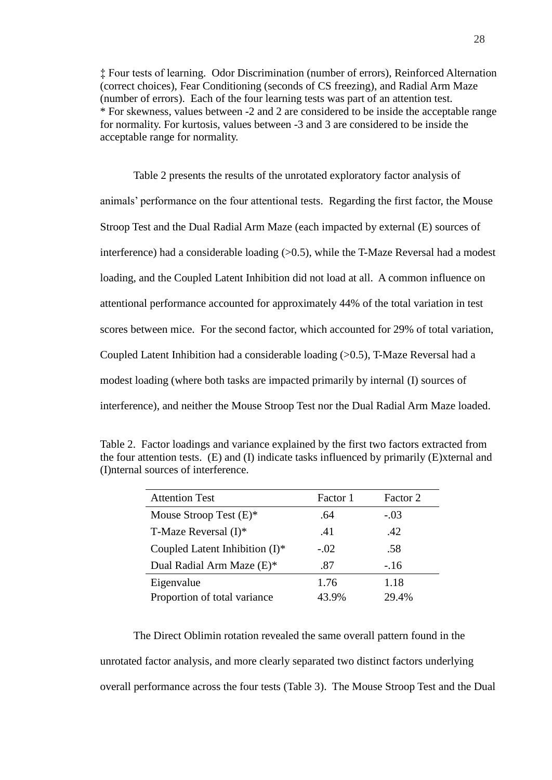‡ Four tests of learning. Odor Discrimination (number of errors), Reinforced Alternation (correct choices), Fear Conditioning (seconds of CS freezing), and Radial Arm Maze (number of errors). Each of the four learning tests was part of an attention test. \* For skewness, values between -2 and 2 are considered to be inside the acceptable range for normality. For kurtosis, values between -3 and 3 are considered to be inside the acceptable range for normality.

Table 2 presents the results of the unrotated exploratory factor analysis of animals" performance on the four attentional tests. Regarding the first factor, the Mouse Stroop Test and the Dual Radial Arm Maze (each impacted by external (E) sources of interference) had a considerable loading  $(0.5)$ , while the T-Maze Reversal had a modest loading, and the Coupled Latent Inhibition did not load at all. A common influence on attentional performance accounted for approximately 44% of the total variation in test scores between mice. For the second factor, which accounted for 29% of total variation, Coupled Latent Inhibition had a considerable loading (>0.5), T-Maze Reversal had a modest loading (where both tasks are impacted primarily by internal (I) sources of interference), and neither the Mouse Stroop Test nor the Dual Radial Arm Maze loaded.

| Table 2. Factor loadings and variance explained by the first two factors extracted from            |
|----------------------------------------------------------------------------------------------------|
| the four attention tests. $(E)$ and $(I)$ indicate tasks influenced by primarily $(E)$ xternal and |
| (I) nternal sources of interference.                                                               |
|                                                                                                    |

| <b>Attention Test</b>             | Factor 1 | Factor 2 |
|-----------------------------------|----------|----------|
| Mouse Stroop Test $(E)^*$         | .64      | $-.03$   |
| T-Maze Reversal $(I)^*$           | .41      | .42      |
| Coupled Latent Inhibition $(I)^*$ | $-.02$   | .58      |
| Dual Radial Arm Maze (E)*         | .87      | $-.16$   |
| Eigenvalue                        | 1.76     | 1.18     |
| Proportion of total variance      | 43.9%    | 29.4%    |

The Direct Oblimin rotation revealed the same overall pattern found in the unrotated factor analysis, and more clearly separated two distinct factors underlying overall performance across the four tests (Table 3). The Mouse Stroop Test and the Dual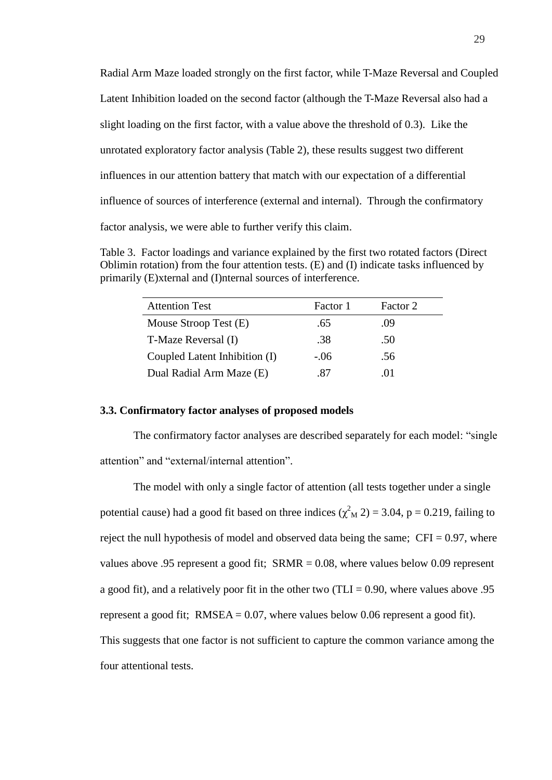Radial Arm Maze loaded strongly on the first factor, while T-Maze Reversal and Coupled Latent Inhibition loaded on the second factor (although the T-Maze Reversal also had a slight loading on the first factor, with a value above the threshold of 0.3). Like the unrotated exploratory factor analysis (Table 2), these results suggest two different influences in our attention battery that match with our expectation of a differential influence of sources of interference (external and internal). Through the confirmatory factor analysis, we were able to further verify this claim.

Table 3. Factor loadings and variance explained by the first two rotated factors (Direct Oblimin rotation) from the four attention tests. (E) and (I) indicate tasks influenced by primarily (E)xternal and (I)nternal sources of interference.

| <b>Attention Test</b>         | Factor 1 | Factor 2    |
|-------------------------------|----------|-------------|
| Mouse Stroop Test $(E)$       | .65      | .09         |
| T-Maze Reversal (I)           | .38      | .50         |
| Coupled Latent Inhibition (I) | $-.06$   | .56         |
| Dual Radial Arm Maze (E)      | -87      | $^{\prime}$ |

#### <span id="page-33-0"></span>**3.3. Confirmatory factor analyses of proposed models**

The confirmatory factor analyses are described separately for each model: "single attention" and "external/internal attention".

The model with only a single factor of attention (all tests together under a single potential cause) had a good fit based on three indices  $(\chi^2_M 2) = 3.04$ , p = 0.219, failing to reject the null hypothesis of model and observed data being the same;  $CFI = 0.97$ , where values above .95 represent a good fit; SRMR = 0.08, where values below 0.09 represent a good fit), and a relatively poor fit in the other two  $(TLI = 0.90)$ , where values above 0.95 represent a good fit;  $RMSEA = 0.07$ , where values below 0.06 represent a good fit). This suggests that one factor is not sufficient to capture the common variance among the four attentional tests.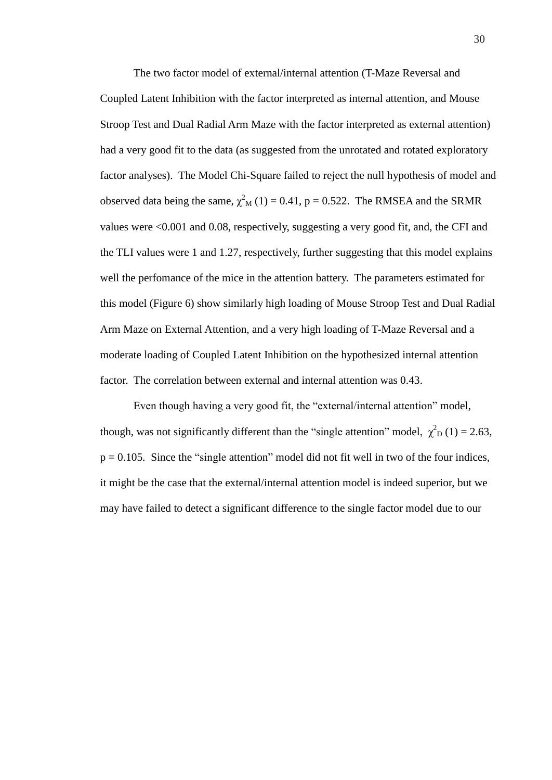The two factor model of external/internal attention (T-Maze Reversal and Coupled Latent Inhibition with the factor interpreted as internal attention, and Mouse Stroop Test and Dual Radial Arm Maze with the factor interpreted as external attention) had a very good fit to the data (as suggested from the unrotated and rotated exploratory factor analyses). The Model Chi-Square failed to reject the null hypothesis of model and observed data being the same,  $\chi^2$ <sub>M</sub> (1) = 0.41, p = 0.522. The RMSEA and the SRMR values were <0.001 and 0.08, respectively, suggesting a very good fit, and, the CFI and the TLI values were 1 and 1.27, respectively, further suggesting that this model explains well the perfomance of the mice in the attention battery. The parameters estimated for this model (Figure 6) show similarly high loading of Mouse Stroop Test and Dual Radial Arm Maze on External Attention, and a very high loading of T-Maze Reversal and a moderate loading of Coupled Latent Inhibition on the hypothesized internal attention factor. The correlation between external and internal attention was 0.43.

Even though having a very good fit, the "external/internal attention" model, though, was not significantly different than the "single attention" model,  $\chi^2$ <sub>D</sub> (1) = 2.63,  $p = 0.105$ . Since the "single attention" model did not fit well in two of the four indices, it might be the case that the external/internal attention model is indeed superior, but we may have failed to detect a significant difference to the single factor model due to our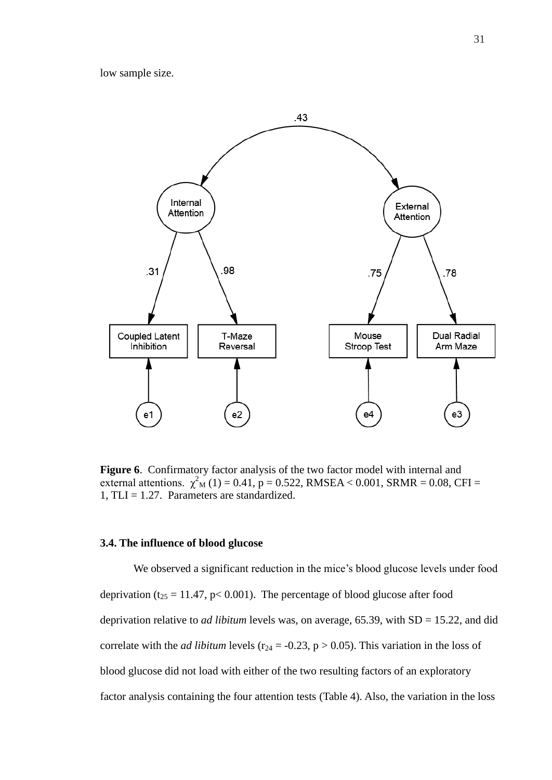low sample size.



**Figure 6**. Confirmatory factor analysis of the two factor model with internal and external attentions.  $\chi^2$ <sub>M</sub> (1) = 0.41, p = 0.522, RMSEA < 0.001, SRMR = 0.08, CFI = 1,  $TLI = 1.27$ . Parameters are standardized.

#### <span id="page-35-0"></span>**3.4. The influence of blood glucose**

We observed a significant reduction in the mice's blood glucose levels under food deprivation ( $t_{25} = 11.47$ , p< 0.001). The percentage of blood glucose after food deprivation relative to *ad libitum* levels was, on average, 65.39, with SD = 15.22, and did correlate with the *ad libitum* levels ( $r_{24} = -0.23$ ,  $p > 0.05$ ). This variation in the loss of blood glucose did not load with either of the two resulting factors of an exploratory factor analysis containing the four attention tests (Table 4). Also, the variation in the loss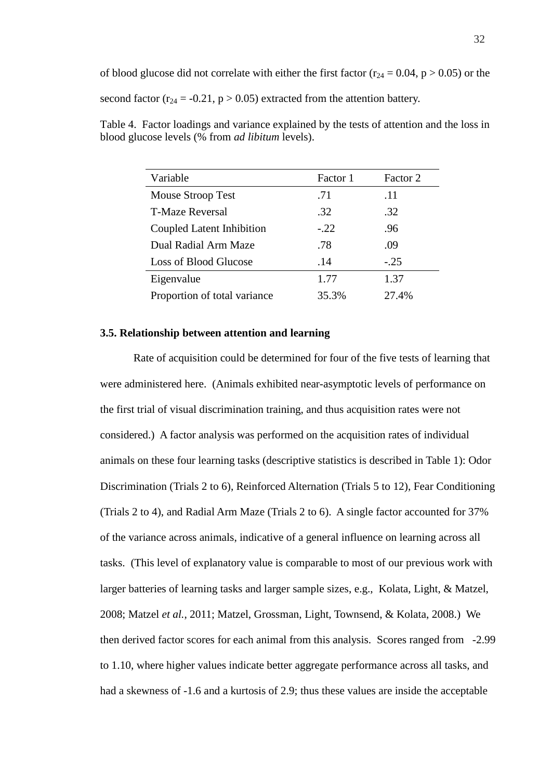of blood glucose did not correlate with either the first factor ( $r_{24} = 0.04$ ,  $p > 0.05$ ) or the second factor ( $r_{24} = -0.21$ ,  $p > 0.05$ ) extracted from the attention battery.

| Table 4. Factor loadings and variance explained by the tests of attention and the loss in |  |
|-------------------------------------------------------------------------------------------|--|
| blood glucose levels (% from <i>ad libitum</i> levels).                                   |  |
|                                                                                           |  |

| Variable                     | Factor 1 | Factor 2 |
|------------------------------|----------|----------|
| Mouse Stroop Test            | .71      | .11      |
| <b>T-Maze Reversal</b>       | .32      | .32      |
| Coupled Latent Inhibition    | $-.22$   | .96      |
| Dual Radial Arm Maze         | .78      | .09      |
| <b>Loss of Blood Glucose</b> | .14      | $-.25$   |
| Eigenvalue                   | 1.77     | 1.37     |
| Proportion of total variance | 35.3%    | 27.4%    |

#### <span id="page-36-0"></span>**3.5. Relationship between attention and learning**

Rate of acquisition could be determined for four of the five tests of learning that were administered here. (Animals exhibited near-asymptotic levels of performance on the first trial of visual discrimination training, and thus acquisition rates were not considered.) A factor analysis was performed on the acquisition rates of individual animals on these four learning tasks (descriptive statistics is described in Table 1): Odor Discrimination (Trials 2 to 6), Reinforced Alternation (Trials 5 to 12), Fear Conditioning (Trials 2 to 4), and Radial Arm Maze (Trials 2 to 6). A single factor accounted for 37% of the variance across animals, indicative of a general influence on learning across all tasks. (This level of explanatory value is comparable to most of our previous work with larger batteries of learning tasks and larger sample sizes, e.g., Kolata, Light, & Matzel, 2008; Matzel *et al.*, 2011; Matzel, Grossman, Light, Townsend, & Kolata, 2008.) We then derived factor scores for each animal from this analysis. Scores ranged from -2.99 to 1.10, where higher values indicate better aggregate performance across all tasks, and had a skewness of -1.6 and a kurtosis of 2.9; thus these values are inside the acceptable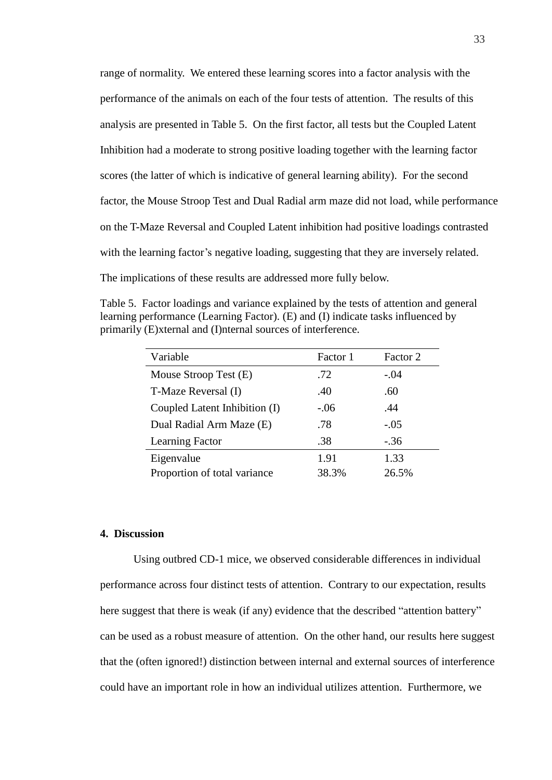range of normality. We entered these learning scores into a factor analysis with the performance of the animals on each of the four tests of attention. The results of this analysis are presented in Table 5. On the first factor, all tests but the Coupled Latent Inhibition had a moderate to strong positive loading together with the learning factor scores (the latter of which is indicative of general learning ability). For the second factor, the Mouse Stroop Test and Dual Radial arm maze did not load, while performance on the T-Maze Reversal and Coupled Latent inhibition had positive loadings contrasted with the learning factor's negative loading, suggesting that they are inversely related. The implications of these results are addressed more fully below.

Table 5. Factor loadings and variance explained by the tests of attention and general learning performance (Learning Factor). (E) and (I) indicate tasks influenced by primarily (E)xternal and (I)nternal sources of interference.

| Variable                      | Factor 1 | Factor 2 |
|-------------------------------|----------|----------|
| Mouse Stroop Test (E)         | .72      | $-.04$   |
| T-Maze Reversal (I)           | .40      | .60      |
| Coupled Latent Inhibition (I) | $-.06$   | .44      |
| Dual Radial Arm Maze (E)      | .78      | $-.05$   |
| <b>Learning Factor</b>        | .38      | $-.36$   |
| Eigenvalue                    | 1.91     | 1.33     |
| Proportion of total variance  | 38.3%    | 26.5%    |

#### <span id="page-37-0"></span>**4. Discussion**

Using outbred CD-1 mice, we observed considerable differences in individual performance across four distinct tests of attention. Contrary to our expectation, results here suggest that there is weak (if any) evidence that the described "attention battery" can be used as a robust measure of attention. On the other hand, our results here suggest that the (often ignored!) distinction between internal and external sources of interference could have an important role in how an individual utilizes attention. Furthermore, we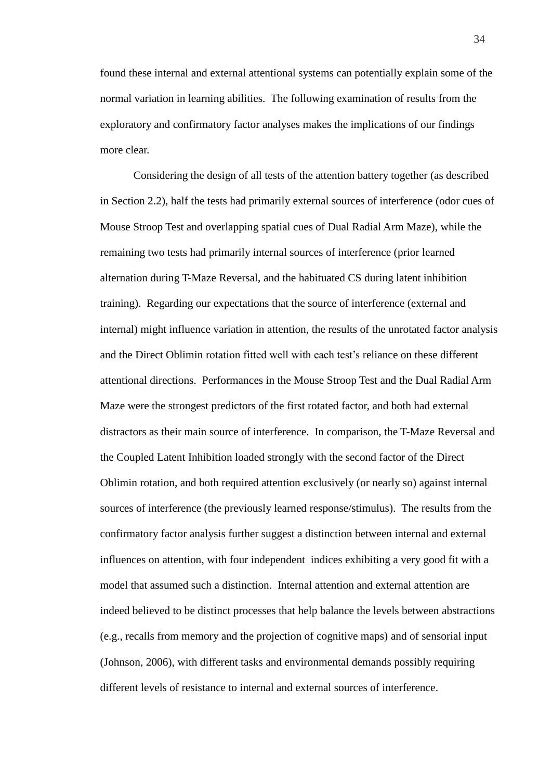found these internal and external attentional systems can potentially explain some of the normal variation in learning abilities. The following examination of results from the exploratory and confirmatory factor analyses makes the implications of our findings more clear.

Considering the design of all tests of the attention battery together (as described in Section 2.2), half the tests had primarily external sources of interference (odor cues of Mouse Stroop Test and overlapping spatial cues of Dual Radial Arm Maze), while the remaining two tests had primarily internal sources of interference (prior learned alternation during T-Maze Reversal, and the habituated CS during latent inhibition training). Regarding our expectations that the source of interference (external and internal) might influence variation in attention, the results of the unrotated factor analysis and the Direct Oblimin rotation fitted well with each test"s reliance on these different attentional directions. Performances in the Mouse Stroop Test and the Dual Radial Arm Maze were the strongest predictors of the first rotated factor, and both had external distractors as their main source of interference. In comparison, the T-Maze Reversal and the Coupled Latent Inhibition loaded strongly with the second factor of the Direct Oblimin rotation, and both required attention exclusively (or nearly so) against internal sources of interference (the previously learned response/stimulus). The results from the confirmatory factor analysis further suggest a distinction between internal and external influences on attention, with four independent indices exhibiting a very good fit with a model that assumed such a distinction. Internal attention and external attention are indeed believed to be distinct processes that help balance the levels between abstractions (e.g., recalls from memory and the projection of cognitive maps) and of sensorial input (Johnson, 2006), with different tasks and environmental demands possibly requiring different levels of resistance to internal and external sources of interference.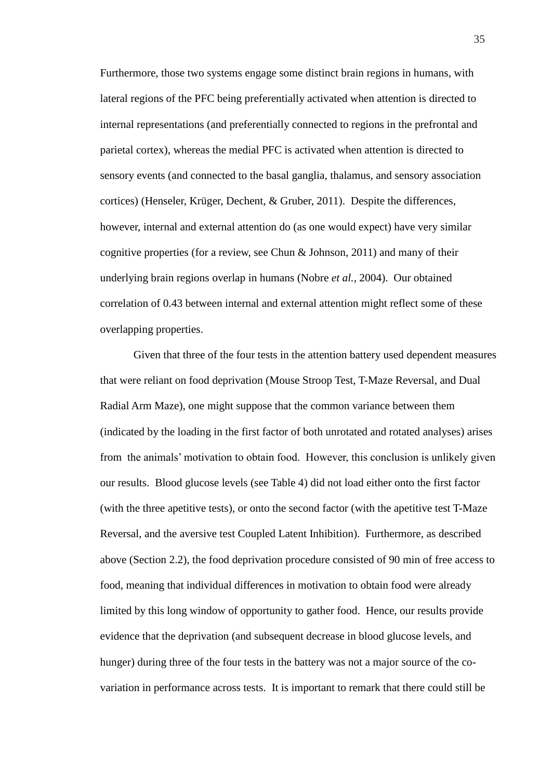Furthermore, those two systems engage some distinct brain regions in humans, with lateral regions of the PFC being preferentially activated when attention is directed to internal representations (and preferentially connected to regions in the prefrontal and parietal cortex), whereas the medial PFC is activated when attention is directed to sensory events (and connected to the basal ganglia, thalamus, and sensory association cortices) (Henseler, Krüger, Dechent, & Gruber, 2011). Despite the differences, however, internal and external attention do (as one would expect) have very similar cognitive properties (for a review, see Chun & Johnson, 2011) and many of their underlying brain regions overlap in humans (Nobre *et al.*, 2004). Our obtained correlation of 0.43 between internal and external attention might reflect some of these overlapping properties.

Given that three of the four tests in the attention battery used dependent measures that were reliant on food deprivation (Mouse Stroop Test, T-Maze Reversal, and Dual Radial Arm Maze), one might suppose that the common variance between them (indicated by the loading in the first factor of both unrotated and rotated analyses) arises from the animals" motivation to obtain food. However, this conclusion is unlikely given our results. Blood glucose levels (see Table 4) did not load either onto the first factor (with the three apetitive tests), or onto the second factor (with the apetitive test T-Maze Reversal, and the aversive test Coupled Latent Inhibition). Furthermore, as described above (Section 2.2), the food deprivation procedure consisted of 90 min of free access to food, meaning that individual differences in motivation to obtain food were already limited by this long window of opportunity to gather food. Hence, our results provide evidence that the deprivation (and subsequent decrease in blood glucose levels, and hunger) during three of the four tests in the battery was not a major source of the covariation in performance across tests. It is important to remark that there could still be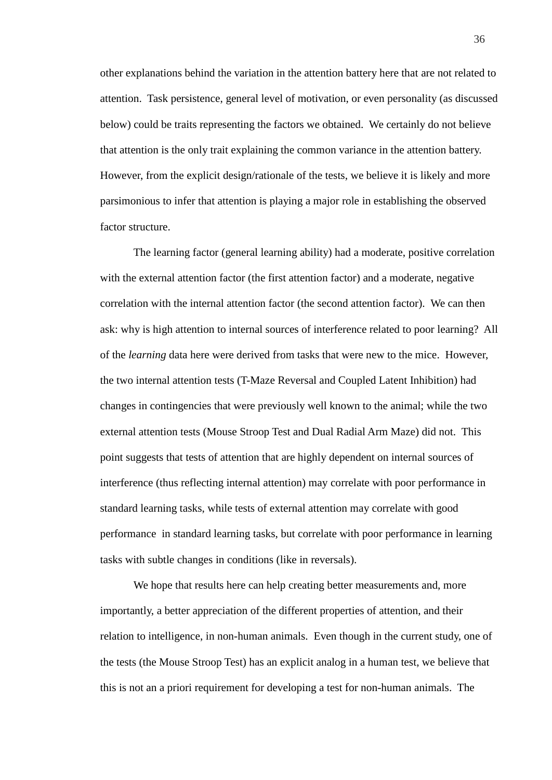other explanations behind the variation in the attention battery here that are not related to attention. Task persistence, general level of motivation, or even personality (as discussed below) could be traits representing the factors we obtained. We certainly do not believe that attention is the only trait explaining the common variance in the attention battery. However, from the explicit design/rationale of the tests, we believe it is likely and more parsimonious to infer that attention is playing a major role in establishing the observed factor structure.

The learning factor (general learning ability) had a moderate, positive correlation with the external attention factor (the first attention factor) and a moderate, negative correlation with the internal attention factor (the second attention factor). We can then ask: why is high attention to internal sources of interference related to poor learning? All of the *learning* data here were derived from tasks that were new to the mice. However, the two internal attention tests (T-Maze Reversal and Coupled Latent Inhibition) had changes in contingencies that were previously well known to the animal; while the two external attention tests (Mouse Stroop Test and Dual Radial Arm Maze) did not. This point suggests that tests of attention that are highly dependent on internal sources of interference (thus reflecting internal attention) may correlate with poor performance in standard learning tasks, while tests of external attention may correlate with good performance in standard learning tasks, but correlate with poor performance in learning tasks with subtle changes in conditions (like in reversals).

We hope that results here can help creating better measurements and, more importantly, a better appreciation of the different properties of attention, and their relation to intelligence, in non-human animals. Even though in the current study, one of the tests (the Mouse Stroop Test) has an explicit analog in a human test, we believe that this is not an a priori requirement for developing a test for non-human animals. The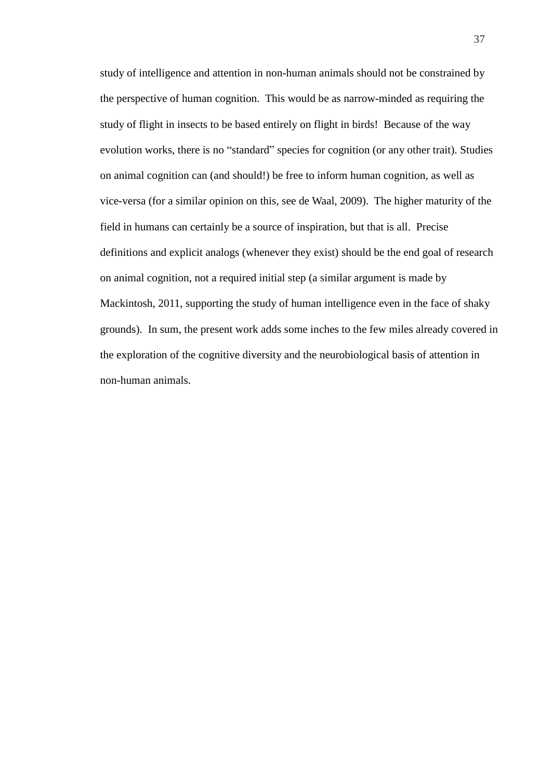study of intelligence and attention in non-human animals should not be constrained by the perspective of human cognition. This would be as narrow-minded as requiring the study of flight in insects to be based entirely on flight in birds! Because of the way evolution works, there is no "standard" species for cognition (or any other trait). Studies on animal cognition can (and should!) be free to inform human cognition, as well as vice-versa (for a similar opinion on this, see de Waal, 2009). The higher maturity of the field in humans can certainly be a source of inspiration, but that is all. Precise definitions and explicit analogs (whenever they exist) should be the end goal of research on animal cognition, not a required initial step (a similar argument is made by Mackintosh, 2011, supporting the study of human intelligence even in the face of shaky grounds). In sum, the present work adds some inches to the few miles already covered in the exploration of the cognitive diversity and the neurobiological basis of attention in non-human animals.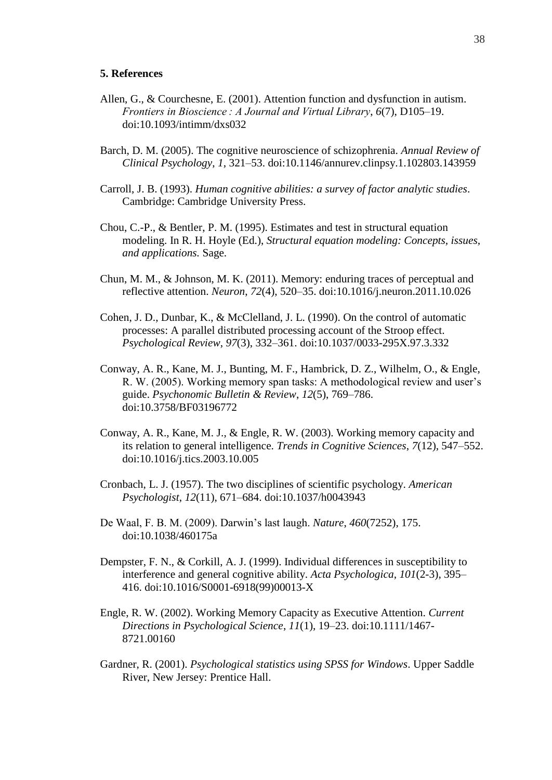#### <span id="page-42-0"></span>**5. References**

- Allen, G., & Courchesne, E. (2001). Attention function and dysfunction in autism. *Frontiers in Bioscience : A Journal and Virtual Library*, *6*(7), D105–19. doi:10.1093/intimm/dxs032
- Barch, D. M. (2005). The cognitive neuroscience of schizophrenia. *Annual Review of Clinical Psychology*, *1*, 321–53. doi:10.1146/annurev.clinpsy.1.102803.143959
- Carroll, J. B. (1993). *Human cognitive abilities: a survey of factor analytic studies*. Cambridge: Cambridge University Press.
- Chou, C.-P., & Bentler, P. M. (1995). Estimates and test in structural equation modeling. In R. H. Hoyle (Ed.), *Structural equation modeling: Concepts, issues, and applications.* Sage.
- Chun, M. M., & Johnson, M. K. (2011). Memory: enduring traces of perceptual and reflective attention. *Neuron*, *72*(4), 520–35. doi:10.1016/j.neuron.2011.10.026
- Cohen, J. D., Dunbar, K., & McClelland, J. L. (1990). On the control of automatic processes: A parallel distributed processing account of the Stroop effect. *Psychological Review*, *97*(3), 332–361. doi:10.1037/0033-295X.97.3.332
- Conway, A. R., Kane, M. J., Bunting, M. F., Hambrick, D. Z., Wilhelm, O., & Engle, R. W. (2005). Working memory span tasks: A methodological review and user"s guide. *Psychonomic Bulletin & Review*, *12*(5), 769–786. doi:10.3758/BF03196772
- Conway, A. R., Kane, M. J., & Engle, R. W. (2003). Working memory capacity and its relation to general intelligence. *Trends in Cognitive Sciences*, *7*(12), 547–552. doi:10.1016/j.tics.2003.10.005
- Cronbach, L. J. (1957). The two disciplines of scientific psychology. *American Psychologist*, *12*(11), 671–684. doi:10.1037/h0043943
- De Waal, F. B. M. (2009). Darwin"s last laugh. *Nature*, *460*(7252), 175. doi:10.1038/460175a
- Dempster, F. N., & Corkill, A. J. (1999). Individual differences in susceptibility to interference and general cognitive ability. *Acta Psychologica*, *101*(2-3), 395– 416. doi:10.1016/S0001-6918(99)00013-X
- Engle, R. W. (2002). Working Memory Capacity as Executive Attention. *Current Directions in Psychological Science*, *11*(1), 19–23. doi:10.1111/1467- 8721.00160
- Gardner, R. (2001). *Psychological statistics using SPSS for Windows*. Upper Saddle River, New Jersey: Prentice Hall.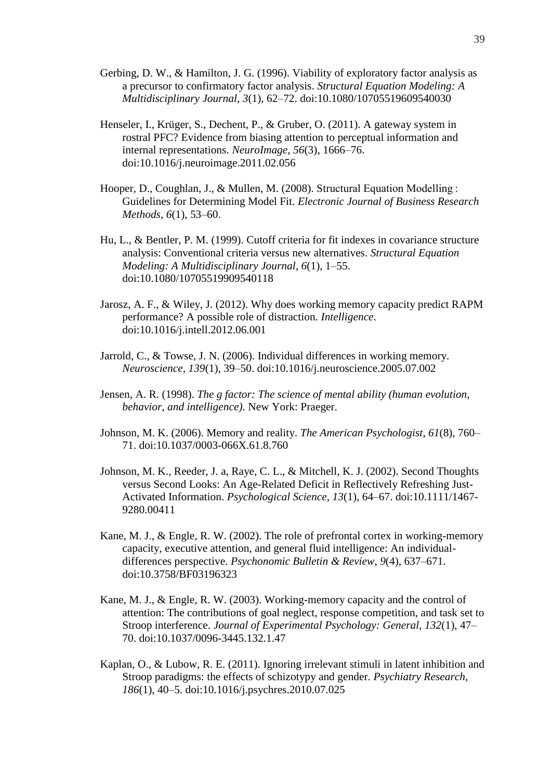- Gerbing, D. W., & Hamilton, J. G. (1996). Viability of exploratory factor analysis as a precursor to confirmatory factor analysis. *Structural Equation Modeling: A Multidisciplinary Journal*, *3*(1), 62–72. doi:10.1080/10705519609540030
- Henseler, I., Krüger, S., Dechent, P., & Gruber, O. (2011). A gateway system in rostral PFC? Evidence from biasing attention to perceptual information and internal representations. *NeuroImage*, *56*(3), 1666–76. doi:10.1016/j.neuroimage.2011.02.056
- Hooper, D., Coughlan, J., & Mullen, M. (2008). Structural Equation Modelling : Guidelines for Determining Model Fit. *Electronic Journal of Business Research Methods*, *6*(1), 53–60.
- Hu, L., & Bentler, P. M. (1999). Cutoff criteria for fit indexes in covariance structure analysis: Conventional criteria versus new alternatives. *Structural Equation Modeling: A Multidisciplinary Journal*, *6*(1), 1–55. doi:10.1080/10705519909540118
- Jarosz, A. F., & Wiley, J. (2012). Why does working memory capacity predict RAPM performance? A possible role of distraction. *Intelligence*. doi:10.1016/j.intell.2012.06.001
- Jarrold, C., & Towse, J. N. (2006). Individual differences in working memory. *Neuroscience*, *139*(1), 39–50. doi:10.1016/j.neuroscience.2005.07.002
- Jensen, A. R. (1998). *The g factor: The science of mental ability (human evolution, behavior, and intelligence)*. New York: Praeger.
- Johnson, M. K. (2006). Memory and reality. *The American Psychologist*, *61*(8), 760– 71. doi:10.1037/0003-066X.61.8.760
- Johnson, M. K., Reeder, J. a, Raye, C. L., & Mitchell, K. J. (2002). Second Thoughts versus Second Looks: An Age-Related Deficit in Reflectively Refreshing Just-Activated Information. *Psychological Science*, *13*(1), 64–67. doi:10.1111/1467- 9280.00411
- Kane, M. J., & Engle, R. W. (2002). The role of prefrontal cortex in working-memory capacity, executive attention, and general fluid intelligence: An individualdifferences perspective. *Psychonomic Bulletin & Review*, *9*(4), 637–671. doi:10.3758/BF03196323
- Kane, M. J., & Engle, R. W. (2003). Working-memory capacity and the control of attention: The contributions of goal neglect, response competition, and task set to Stroop interference. *Journal of Experimental Psychology: General*, *132*(1), 47– 70. doi:10.1037/0096-3445.132.1.47
- Kaplan, O., & Lubow, R. E. (2011). Ignoring irrelevant stimuli in latent inhibition and Stroop paradigms: the effects of schizotypy and gender. *Psychiatry Research*, *186*(1), 40–5. doi:10.1016/j.psychres.2010.07.025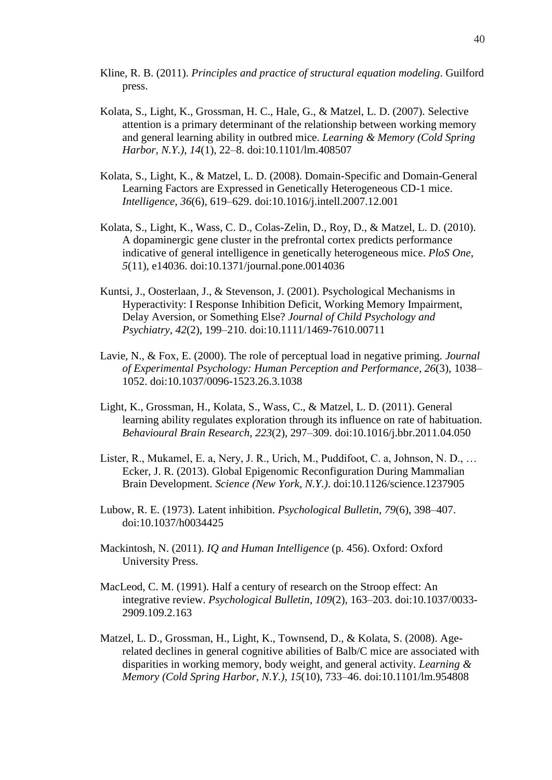- Kline, R. B. (2011). *Principles and practice of structural equation modeling*. Guilford press.
- Kolata, S., Light, K., Grossman, H. C., Hale, G., & Matzel, L. D. (2007). Selective attention is a primary determinant of the relationship between working memory and general learning ability in outbred mice. *Learning & Memory (Cold Spring Harbor, N.Y.)*, *14*(1), 22–8. doi:10.1101/lm.408507
- Kolata, S., Light, K., & Matzel, L. D. (2008). Domain-Specific and Domain-General Learning Factors are Expressed in Genetically Heterogeneous CD-1 mice. *Intelligence*, *36*(6), 619–629. doi:10.1016/j.intell.2007.12.001
- Kolata, S., Light, K., Wass, C. D., Colas-Zelin, D., Roy, D., & Matzel, L. D. (2010). A dopaminergic gene cluster in the prefrontal cortex predicts performance indicative of general intelligence in genetically heterogeneous mice. *PloS One*, *5*(11), e14036. doi:10.1371/journal.pone.0014036
- Kuntsi, J., Oosterlaan, J., & Stevenson, J. (2001). Psychological Mechanisms in Hyperactivity: I Response Inhibition Deficit, Working Memory Impairment, Delay Aversion, or Something Else? *Journal of Child Psychology and Psychiatry*, *42*(2), 199–210. doi:10.1111/1469-7610.00711
- Lavie, N., & Fox, E. (2000). The role of perceptual load in negative priming. *Journal of Experimental Psychology: Human Perception and Performance*, *26*(3), 1038– 1052. doi:10.1037/0096-1523.26.3.1038
- Light, K., Grossman, H., Kolata, S., Wass, C., & Matzel, L. D. (2011). General learning ability regulates exploration through its influence on rate of habituation. *Behavioural Brain Research*, *223*(2), 297–309. doi:10.1016/j.bbr.2011.04.050
- Lister, R., Mukamel, E. a, Nery, J. R., Urich, M., Puddifoot, C. a, Johnson, N. D., … Ecker, J. R. (2013). Global Epigenomic Reconfiguration During Mammalian Brain Development. *Science (New York, N.Y.)*. doi:10.1126/science.1237905
- Lubow, R. E. (1973). Latent inhibition. *Psychological Bulletin*, *79*(6), 398–407. doi:10.1037/h0034425
- Mackintosh, N. (2011). *IQ and Human Intelligence* (p. 456). Oxford: Oxford University Press.
- MacLeod, C. M. (1991). Half a century of research on the Stroop effect: An integrative review. *Psychological Bulletin*, *109*(2), 163–203. doi:10.1037/0033- 2909.109.2.163
- Matzel, L. D., Grossman, H., Light, K., Townsend, D., & Kolata, S. (2008). Agerelated declines in general cognitive abilities of Balb/C mice are associated with disparities in working memory, body weight, and general activity. *Learning & Memory (Cold Spring Harbor, N.Y.)*, *15*(10), 733–46. doi:10.1101/lm.954808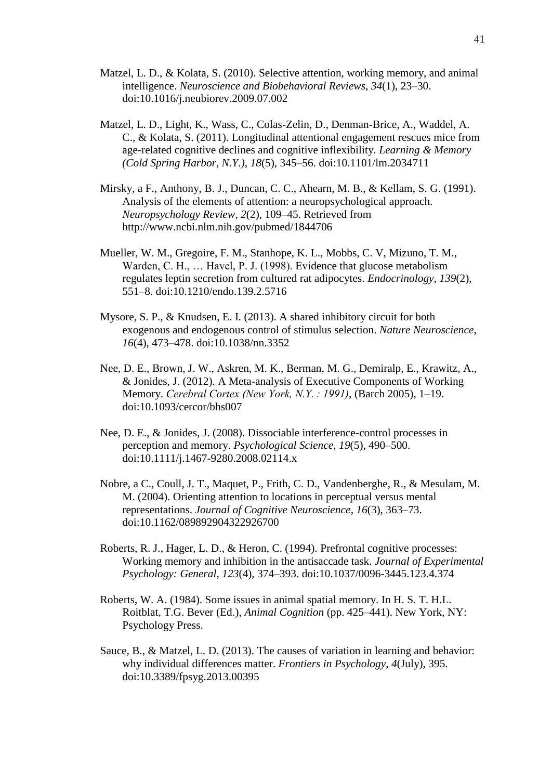- Matzel, L. D., & Kolata, S. (2010). Selective attention, working memory, and animal intelligence. *Neuroscience and Biobehavioral Reviews*, *34*(1), 23–30. doi:10.1016/j.neubiorev.2009.07.002
- Matzel, L. D., Light, K., Wass, C., Colas-Zelin, D., Denman-Brice, A., Waddel, A. C., & Kolata, S. (2011). Longitudinal attentional engagement rescues mice from age-related cognitive declines and cognitive inflexibility. *Learning & Memory (Cold Spring Harbor, N.Y.)*, *18*(5), 345–56. doi:10.1101/lm.2034711
- Mirsky, a F., Anthony, B. J., Duncan, C. C., Ahearn, M. B., & Kellam, S. G. (1991). Analysis of the elements of attention: a neuropsychological approach. *Neuropsychology Review*, *2*(2), 109–45. Retrieved from http://www.ncbi.nlm.nih.gov/pubmed/1844706
- Mueller, W. M., Gregoire, F. M., Stanhope, K. L., Mobbs, C. V, Mizuno, T. M., Warden, C. H., … Havel, P. J. (1998). Evidence that glucose metabolism regulates leptin secretion from cultured rat adipocytes. *Endocrinology*, *139*(2), 551–8. doi:10.1210/endo.139.2.5716
- Mysore, S. P., & Knudsen, E. I. (2013). A shared inhibitory circuit for both exogenous and endogenous control of stimulus selection. *Nature Neuroscience*, *16*(4), 473–478. doi:10.1038/nn.3352
- Nee, D. E., Brown, J. W., Askren, M. K., Berman, M. G., Demiralp, E., Krawitz, A., & Jonides, J. (2012). A Meta-analysis of Executive Components of Working Memory. *Cerebral Cortex (New York, N.Y. : 1991)*, (Barch 2005), 1–19. doi:10.1093/cercor/bhs007
- Nee, D. E., & Jonides, J. (2008). Dissociable interference-control processes in perception and memory. *Psychological Science*, *19*(5), 490–500. doi:10.1111/j.1467-9280.2008.02114.x
- Nobre, a C., Coull, J. T., Maquet, P., Frith, C. D., Vandenberghe, R., & Mesulam, M. M. (2004). Orienting attention to locations in perceptual versus mental representations. *Journal of Cognitive Neuroscience*, *16*(3), 363–73. doi:10.1162/089892904322926700
- Roberts, R. J., Hager, L. D., & Heron, C. (1994). Prefrontal cognitive processes: Working memory and inhibition in the antisaccade task. *Journal of Experimental Psychology: General*, *123*(4), 374–393. doi:10.1037/0096-3445.123.4.374
- Roberts, W. A. (1984). Some issues in animal spatial memory. In H. S. T. H.L. Roitblat, T.G. Bever (Ed.), *Animal Cognition* (pp. 425–441). New York, NY: Psychology Press.
- Sauce, B., & Matzel, L. D. (2013). The causes of variation in learning and behavior: why individual differences matter. *Frontiers in Psychology*, *4*(July), 395. doi:10.3389/fpsyg.2013.00395